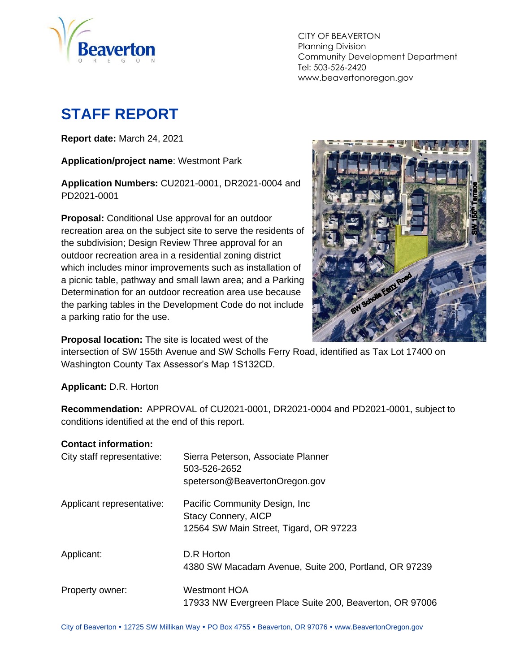

CITY OF BEAVERTON Planning Division Community Development Department Tel: 503-526-2420 www.beavertonoregon.gov

# <span id="page-0-0"></span>**STAFF REPORT**

**Report date:** March 24, 2021

**Application/project name**: Westmont Park

**Application Numbers:** CU2021-0001, DR2021-0004 and PD2021-0001

**Proposal:** Conditional Use approval for an outdoor recreation area on the subject site to serve the residents of the subdivision; Design Review Three approval for an outdoor recreation area in a residential zoning district which includes minor improvements such as installation of a picnic table, pathway and small lawn area; and a Parking Determination for an outdoor recreation area use because the parking tables in the Development Code do not include a parking ratio for the use.



**Proposal location:** The site is located west of the

intersection of SW 155th Avenue and SW Scholls Ferry Road, identified as Tax Lot 17400 on Washington County Tax Assessor's Map 1S132CD.

**Applicant:** D.R. Horton

**Recommendation:** APPROVAL of CU2021-0001, DR2021-0004 and PD2021-0001, subject to conditions identified at the end of this report.

#### **Contact information:**

| City staff representative: | Sierra Peterson, Associate Planner<br>503-526-2652<br>speterson@BeavertonOregon.gov                    |
|----------------------------|--------------------------------------------------------------------------------------------------------|
| Applicant representative:  | Pacific Community Design, Inc.<br><b>Stacy Connery, AICP</b><br>12564 SW Main Street, Tigard, OR 97223 |
| Applicant:                 | D.R Horton<br>4380 SW Macadam Avenue, Suite 200, Portland, OR 97239                                    |
| Property owner:            | Westmont HOA<br>17933 NW Evergreen Place Suite 200, Beaverton, OR 97006                                |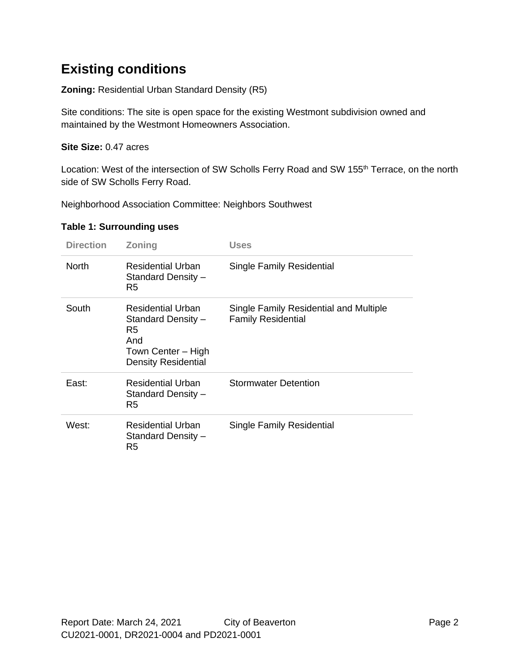## **Existing conditions**

**Zoning:** Residential Urban Standard Density (R5)

Site conditions: The site is open space for the existing Westmont subdivision owned and maintained by the Westmont Homeowners Association.

#### **Site Size:** 0.47 acres

Location: West of the intersection of SW Scholls Ferry Road and SW 155<sup>th</sup> Terrace, on the north side of SW Scholls Ferry Road.

Neighborhood Association Committee: Neighbors Southwest

| <b>Direction</b> | <b>Zoning</b>                                                                                            | Uses                                                                |
|------------------|----------------------------------------------------------------------------------------------------------|---------------------------------------------------------------------|
| <b>North</b>     | <b>Residential Urban</b><br>Standard Density -<br>R5                                                     | Single Family Residential                                           |
| South            | Residential Urban<br>Standard Density -<br>R5<br>And<br>Town Center - High<br><b>Density Residential</b> | Single Family Residential and Multiple<br><b>Family Residential</b> |
| East:            | <b>Residential Urban</b><br>Standard Density -<br>R5                                                     | <b>Stormwater Detention</b>                                         |
| West:            | <b>Residential Urban</b><br>Standard Density -<br>R5                                                     | <b>Single Family Residential</b>                                    |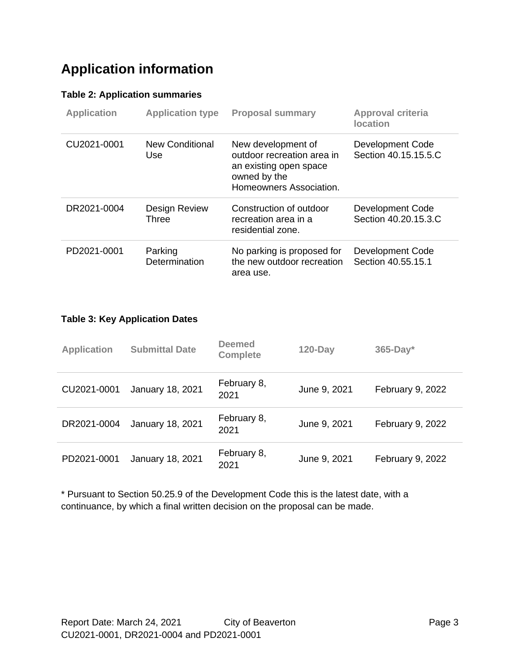## **Application information**

#### **Table 2: Application summaries**

| <b>Application</b> | <b>Application type</b>       | <b>Proposal summary</b>                                                                                               | Approval criteria<br><b>location</b>     |
|--------------------|-------------------------------|-----------------------------------------------------------------------------------------------------------------------|------------------------------------------|
| CU2021-0001        | New Conditional<br>Use        | New development of<br>outdoor recreation area in<br>an existing open space<br>owned by the<br>Homeowners Association. | Development Code<br>Section 40.15.15.5.C |
| DR2021-0004        | <b>Design Review</b><br>Three | Construction of outdoor<br>recreation area in a<br>residential zone.                                                  | Development Code<br>Section 40.20.15.3.C |
| PD2021-0001        | Parking<br>Determination      | No parking is proposed for<br>the new outdoor recreation<br>area use.                                                 | Development Code<br>Section 40.55.15.1   |

#### **Table 3: Key Application Dates**

| <b>Application</b> | <b>Submittal Date</b> | <b>Deemed</b><br><b>Complete</b> | $120$ -Day   | $365$ -Day*      |
|--------------------|-----------------------|----------------------------------|--------------|------------------|
| CU2021-0001        | January 18, 2021      | February 8,<br>2021              | June 9, 2021 | February 9, 2022 |
| DR2021-0004        | January 18, 2021      | February 8,<br>2021              | June 9, 2021 | February 9, 2022 |
| PD2021-0001        | January 18, 2021      | February 8,<br>2021              | June 9, 2021 | February 9, 2022 |

\* Pursuant to Section 50.25.9 of the Development Code this is the latest date, with a continuance, by which a final written decision on the proposal can be made.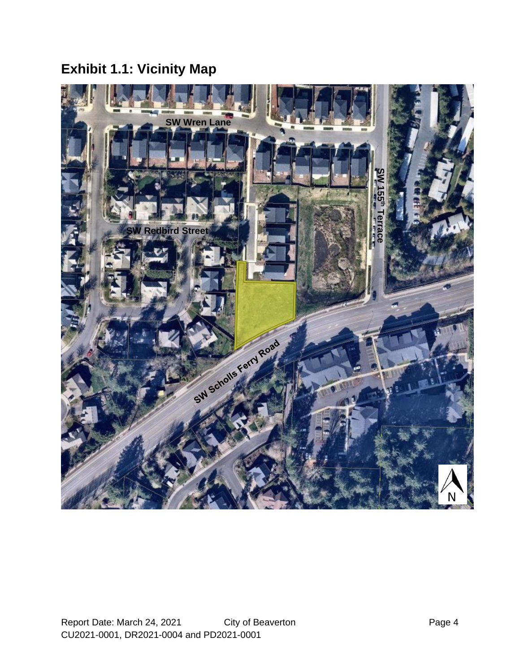# **Exhibit 1.1: Vicinity Map**

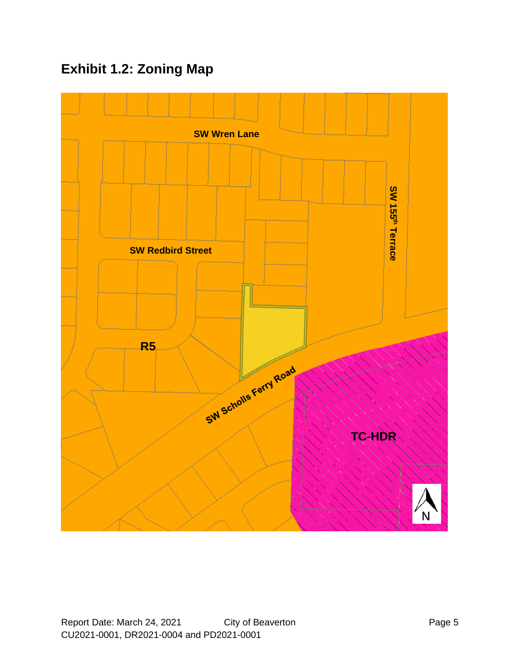## **Exhibit 1.2: Zoning Map**

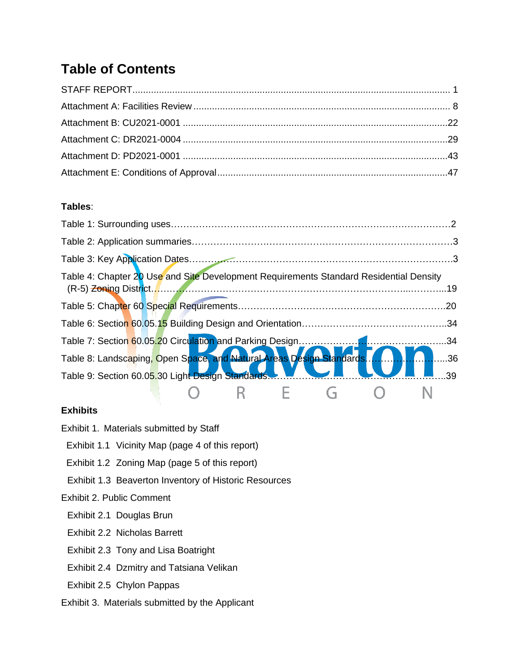## **Table of Contents**

#### **Tables**:

| Table 4: Chapter 20 Use and Site Development Requirements Standard Residential Density |  |
|----------------------------------------------------------------------------------------|--|
|                                                                                        |  |
|                                                                                        |  |
|                                                                                        |  |
|                                                                                        |  |
|                                                                                        |  |
| Table 9: Section 60.0 <mark>5.30 Light Design Standards.</mark><br>.39                 |  |
|                                                                                        |  |

#### **Exhibits**

- Exhibit 1. Materials submitted by Staff
- Exhibit 1.1 Vicinity Map (page 4 of this report)
- Exhibit 1.2 Zoning Map (page 5 of this report)
- Exhibit 1.3 Beaverton Inventory of Historic Resources
- Exhibit 2. Public Comment
	- Exhibit 2.1 Douglas Brun
	- Exhibit 2.2 Nicholas Barrett
	- Exhibit 2.3 Tony and Lisa Boatright
- Exhibit 2.4 Dzmitry and Tatsiana Velikan
- Exhibit 2.5 Chylon Pappas
- Exhibit 3. Materials submitted by the Applicant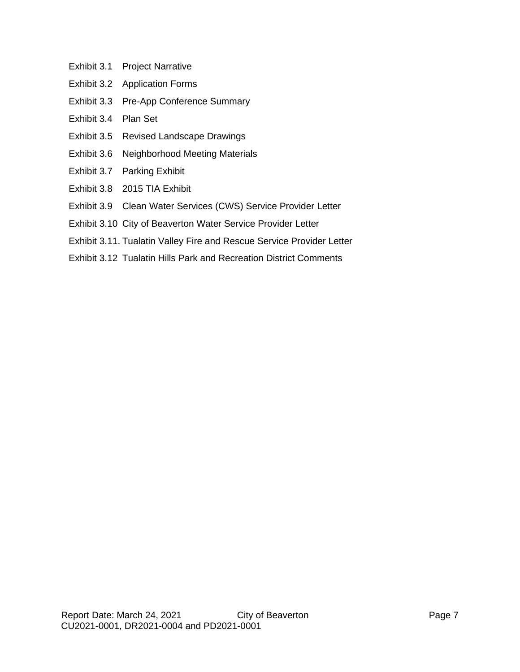- Exhibit 3.1 Project Narrative
- Exhibit 3.2 Application Forms
- Exhibit 3.3 Pre-App Conference Summary
- Exhibit 3.4 Plan Set
- Exhibit 3.5 Revised Landscape Drawings
- Exhibit 3.6 Neighborhood Meeting Materials
- Exhibit 3.7 Parking Exhibit
- Exhibit 3.8 2015 TIA Exhibit
- Exhibit 3.9 Clean Water Services (CWS) Service Provider Letter
- Exhibit 3.10 City of Beaverton Water Service Provider Letter
- Exhibit 3.11. Tualatin Valley Fire and Rescue Service Provider Letter
- Exhibit 3.12 Tualatin Hills Park and Recreation District Comments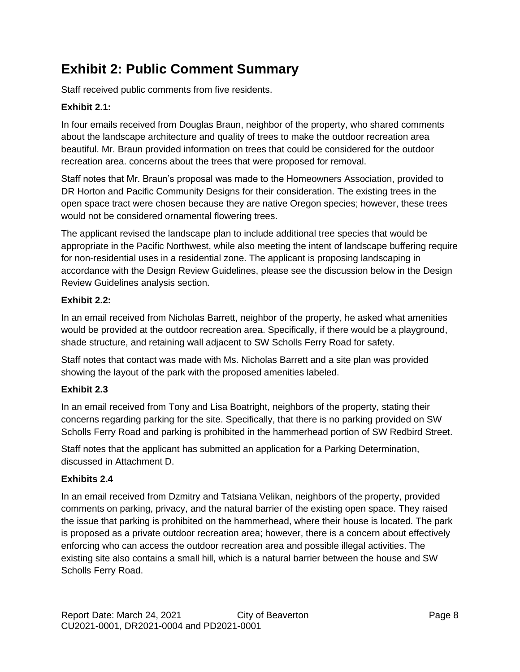## <span id="page-7-0"></span>**Exhibit 2: Public Comment Summary**

Staff received public comments from five residents.

#### **Exhibit 2.1:**

In four emails received from Douglas Braun, neighbor of the property, who shared comments about the landscape architecture and quality of trees to make the outdoor recreation area beautiful. Mr. Braun provided information on trees that could be considered for the outdoor recreation area. concerns about the trees that were proposed for removal.

Staff notes that Mr. Braun's proposal was made to the Homeowners Association, provided to DR Horton and Pacific Community Designs for their consideration. The existing trees in the open space tract were chosen because they are native Oregon species; however, these trees would not be considered ornamental flowering trees.

The applicant revised the landscape plan to include additional tree species that would be appropriate in the Pacific Northwest, while also meeting the intent of landscape buffering require for non-residential uses in a residential zone. The applicant is proposing landscaping in accordance with the Design Review Guidelines, please see the discussion below in the Design Review Guidelines analysis section.

#### **Exhibit 2.2:**

In an email received from Nicholas Barrett, neighbor of the property, he asked what amenities would be provided at the outdoor recreation area. Specifically, if there would be a playground, shade structure, and retaining wall adjacent to SW Scholls Ferry Road for safety.

Staff notes that contact was made with Ms. Nicholas Barrett and a site plan was provided showing the layout of the park with the proposed amenities labeled.

#### **Exhibit 2.3**

In an email received from Tony and Lisa Boatright, neighbors of the property, stating their concerns regarding parking for the site. Specifically, that there is no parking provided on SW Scholls Ferry Road and parking is prohibited in the hammerhead portion of SW Redbird Street.

Staff notes that the applicant has submitted an application for a Parking Determination, discussed in Attachment D.

#### **Exhibits 2.4**

In an email received from Dzmitry and Tatsiana Velikan, neighbors of the property, provided comments on parking, privacy, and the natural barrier of the existing open space. They raised the issue that parking is prohibited on the hammerhead, where their house is located. The park is proposed as a private outdoor recreation area; however, there is a concern about effectively enforcing who can access the outdoor recreation area and possible illegal activities. The existing site also contains a small hill, which is a natural barrier between the house and SW Scholls Ferry Road.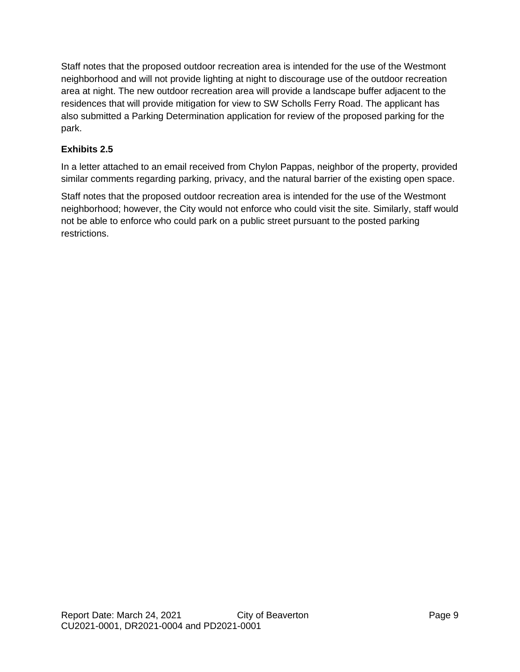Staff notes that the proposed outdoor recreation area is intended for the use of the Westmont neighborhood and will not provide lighting at night to discourage use of the outdoor recreation area at night. The new outdoor recreation area will provide a landscape buffer adjacent to the residences that will provide mitigation for view to SW Scholls Ferry Road. The applicant has also submitted a Parking Determination application for review of the proposed parking for the park.

#### **Exhibits 2.5**

In a letter attached to an email received from Chylon Pappas, neighbor of the property, provided similar comments regarding parking, privacy, and the natural barrier of the existing open space.

Staff notes that the proposed outdoor recreation area is intended for the use of the Westmont neighborhood; however, the City would not enforce who could visit the site. Similarly, staff would not be able to enforce who could park on a public street pursuant to the posted parking restrictions.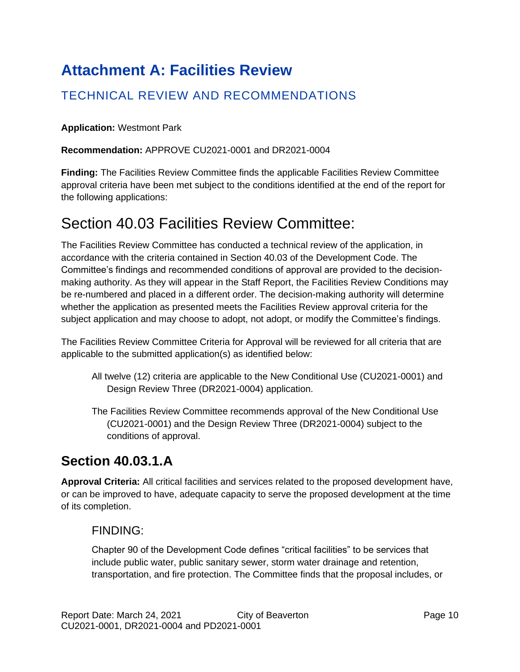# **Attachment A: Facilities Review**

## TECHNICAL REVIEW AND RECOMMENDATIONS

**Application:** Westmont Park

**Recommendation:** APPROVE CU2021-0001 and DR2021-0004

**Finding:** The Facilities Review Committee finds the applicable Facilities Review Committee approval criteria have been met subject to the conditions identified at the end of the report for the following applications:

## Section 40.03 Facilities Review Committee:

The Facilities Review Committee has conducted a technical review of the application, in accordance with the criteria contained in Section 40.03 of the Development Code. The Committee's findings and recommended conditions of approval are provided to the decisionmaking authority. As they will appear in the Staff Report, the Facilities Review Conditions may be re-numbered and placed in a different order. The decision-making authority will determine whether the application as presented meets the Facilities Review approval criteria for the subject application and may choose to adopt, not adopt, or modify the Committee's findings.

The Facilities Review Committee Criteria for Approval will be reviewed for all criteria that are applicable to the submitted application(s) as identified below:

- All twelve (12) criteria are applicable to the New Conditional Use (CU2021-0001) and Design Review Three (DR2021-0004) application.
- The Facilities Review Committee recommends approval of the New Conditional Use (CU2021-0001) and the Design Review Three (DR2021-0004) subject to the conditions of approval.

## **Section 40.03.1.A**

**Approval Criteria:** All critical facilities and services related to the proposed development have, or can be improved to have, adequate capacity to serve the proposed development at the time of its completion.

### FINDING:

Chapter 90 of the Development Code defines "critical facilities" to be services that include public water, public sanitary sewer, storm water drainage and retention, transportation, and fire protection. The Committee finds that the proposal includes, or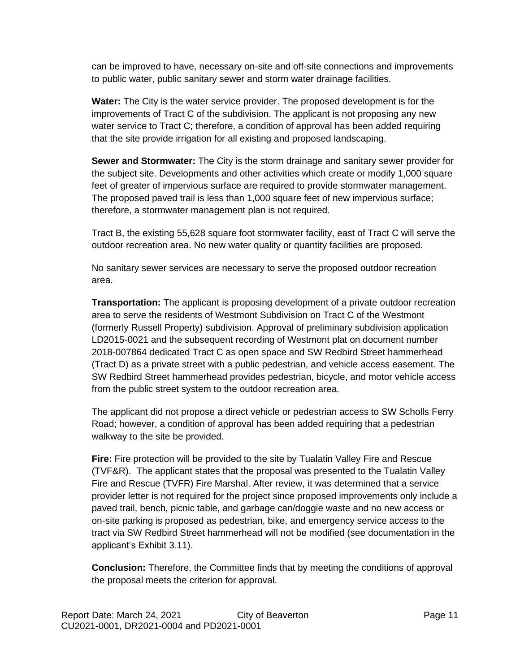can be improved to have, necessary on-site and off-site connections and improvements to public water, public sanitary sewer and storm water drainage facilities.

**Water:** The City is the water service provider. The proposed development is for the improvements of Tract C of the subdivision. The applicant is not proposing any new water service to Tract C; therefore, a condition of approval has been added requiring that the site provide irrigation for all existing and proposed landscaping.

**Sewer and Stormwater:** The City is the storm drainage and sanitary sewer provider for the subject site. Developments and other activities which create or modify 1,000 square feet of greater of impervious surface are required to provide stormwater management. The proposed paved trail is less than 1,000 square feet of new impervious surface; therefore, a stormwater management plan is not required.

Tract B, the existing 55,628 square foot stormwater facility, east of Tract C will serve the outdoor recreation area. No new water quality or quantity facilities are proposed.

No sanitary sewer services are necessary to serve the proposed outdoor recreation area.

**Transportation:** The applicant is proposing development of a private outdoor recreation area to serve the residents of Westmont Subdivision on Tract C of the Westmont (formerly Russell Property) subdivision. Approval of preliminary subdivision application LD2015-0021 and the subsequent recording of Westmont plat on document number 2018-007864 dedicated Tract C as open space and SW Redbird Street hammerhead (Tract D) as a private street with a public pedestrian, and vehicle access easement. The SW Redbird Street hammerhead provides pedestrian, bicycle, and motor vehicle access from the public street system to the outdoor recreation area.

The applicant did not propose a direct vehicle or pedestrian access to SW Scholls Ferry Road; however, a condition of approval has been added requiring that a pedestrian walkway to the site be provided.

**Fire:** Fire protection will be provided to the site by Tualatin Valley Fire and Rescue (TVF&R). The applicant states that the proposal was presented to the Tualatin Valley Fire and Rescue (TVFR) Fire Marshal. After review, it was determined that a service provider letter is not required for the project since proposed improvements only include a paved trail, bench, picnic table, and garbage can/doggie waste and no new access or on-site parking is proposed as pedestrian, bike, and emergency service access to the tract via SW Redbird Street hammerhead will not be modified (see documentation in the applicant's Exhibit 3.11).

**Conclusion:** Therefore, the Committee finds that by meeting the conditions of approval the proposal meets the criterion for approval.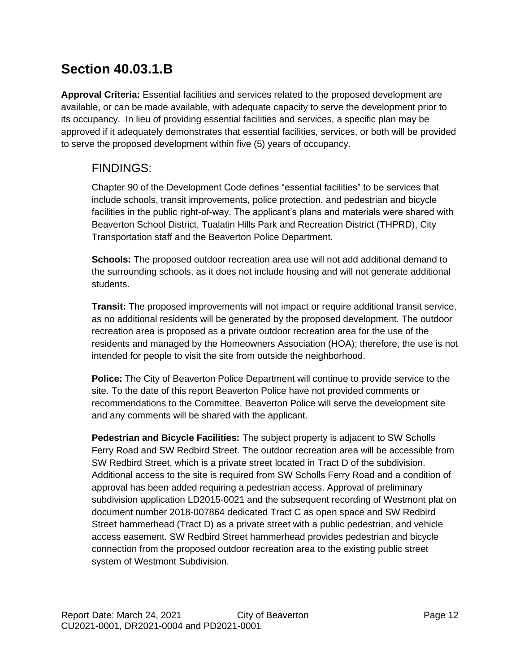## **Section 40.03.1.B**

**Approval Criteria:** Essential facilities and services related to the proposed development are available, or can be made available, with adequate capacity to serve the development prior to its occupancy. In lieu of providing essential facilities and services, a specific plan may be approved if it adequately demonstrates that essential facilities, services, or both will be provided to serve the proposed development within five (5) years of occupancy.

### FINDINGS:

Chapter 90 of the Development Code defines "essential facilities" to be services that include schools, transit improvements, police protection, and pedestrian and bicycle facilities in the public right-of-way. The applicant's plans and materials were shared with Beaverton School District, Tualatin Hills Park and Recreation District (THPRD), City Transportation staff and the Beaverton Police Department.

**Schools:** The proposed outdoor recreation area use will not add additional demand to the surrounding schools, as it does not include housing and will not generate additional students.

**Transit:** The proposed improvements will not impact or require additional transit service, as no additional residents will be generated by the proposed development. The outdoor recreation area is proposed as a private outdoor recreation area for the use of the residents and managed by the Homeowners Association (HOA); therefore, the use is not intended for people to visit the site from outside the neighborhood.

**Police:** The City of Beaverton Police Department will continue to provide service to the site. To the date of this report Beaverton Police have not provided comments or recommendations to the Committee. Beaverton Police will serve the development site and any comments will be shared with the applicant.

**Pedestrian and Bicycle Facilities:** The subject property is adjacent to SW Scholls Ferry Road and SW Redbird Street. The outdoor recreation area will be accessible from SW Redbird Street, which is a private street located in Tract D of the subdivision. Additional access to the site is required from SW Scholls Ferry Road and a condition of approval has been added requiring a pedestrian access. Approval of preliminary subdivision application LD2015-0021 and the subsequent recording of Westmont plat on document number 2018-007864 dedicated Tract C as open space and SW Redbird Street hammerhead (Tract D) as a private street with a public pedestrian, and vehicle access easement. SW Redbird Street hammerhead provides pedestrian and bicycle connection from the proposed outdoor recreation area to the existing public street system of Westmont Subdivision.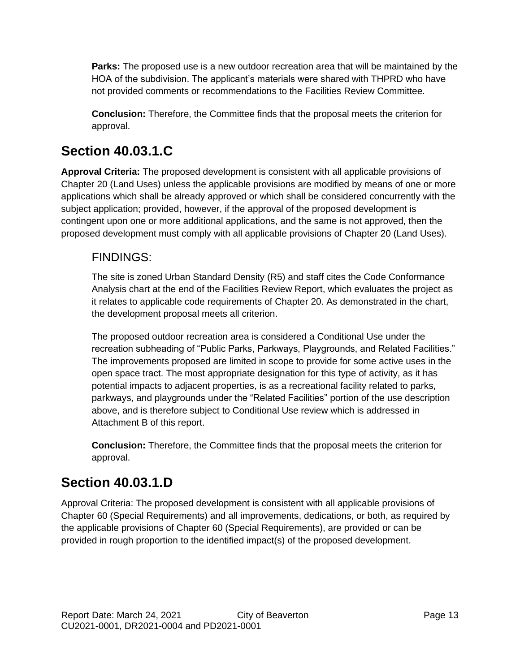**Parks:** The proposed use is a new outdoor recreation area that will be maintained by the HOA of the subdivision. The applicant's materials were shared with THPRD who have not provided comments or recommendations to the Facilities Review Committee.

**Conclusion:** Therefore, the Committee finds that the proposal meets the criterion for approval.

## **Section 40.03.1.C**

**Approval Criteria:** The proposed development is consistent with all applicable provisions of Chapter 20 (Land Uses) unless the applicable provisions are modified by means of one or more applications which shall be already approved or which shall be considered concurrently with the subject application; provided, however, if the approval of the proposed development is contingent upon one or more additional applications, and the same is not approved, then the proposed development must comply with all applicable provisions of Chapter 20 (Land Uses).

### FINDINGS:

The site is zoned Urban Standard Density (R5) and staff cites the Code Conformance Analysis chart at the end of the Facilities Review Report, which evaluates the project as it relates to applicable code requirements of Chapter 20. As demonstrated in the chart, the development proposal meets all criterion.

The proposed outdoor recreation area is considered a Conditional Use under the recreation subheading of "Public Parks, Parkways, Playgrounds, and Related Facilities." The improvements proposed are limited in scope to provide for some active uses in the open space tract. The most appropriate designation for this type of activity, as it has potential impacts to adjacent properties, is as a recreational facility related to parks, parkways, and playgrounds under the "Related Facilities" portion of the use description above, and is therefore subject to Conditional Use review which is addressed in Attachment B of this report.

**Conclusion:** Therefore, the Committee finds that the proposal meets the criterion for approval.

## **Section 40.03.1.D**

Approval Criteria: The proposed development is consistent with all applicable provisions of Chapter 60 (Special Requirements) and all improvements, dedications, or both, as required by the applicable provisions of Chapter 60 (Special Requirements), are provided or can be provided in rough proportion to the identified impact(s) of the proposed development.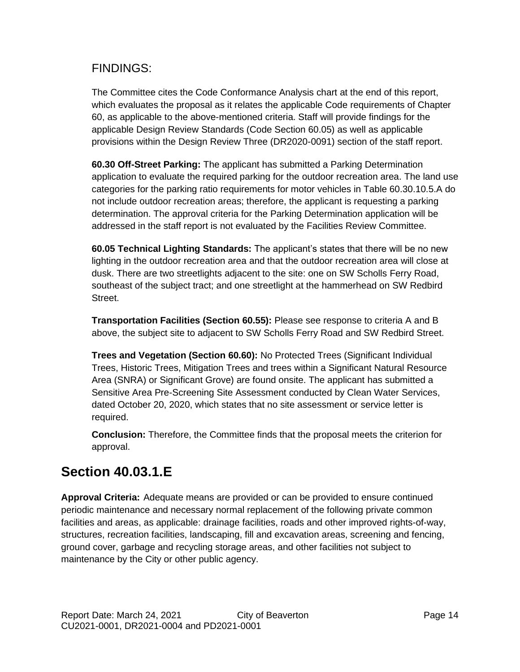### FINDINGS:

The Committee cites the Code Conformance Analysis chart at the end of this report, which evaluates the proposal as it relates the applicable Code requirements of Chapter 60, as applicable to the above-mentioned criteria. Staff will provide findings for the applicable Design Review Standards (Code Section 60.05) as well as applicable provisions within the Design Review Three (DR2020-0091) section of the staff report.

**60.30 Off-Street Parking:** The applicant has submitted a Parking Determination application to evaluate the required parking for the outdoor recreation area. The land use categories for the parking ratio requirements for motor vehicles in Table 60.30.10.5.A do not include outdoor recreation areas; therefore, the applicant is requesting a parking determination. The approval criteria for the Parking Determination application will be addressed in the staff report is not evaluated by the Facilities Review Committee.

**60.05 Technical Lighting Standards:** The applicant's states that there will be no new lighting in the outdoor recreation area and that the outdoor recreation area will close at dusk. There are two streetlights adjacent to the site: one on SW Scholls Ferry Road, southeast of the subject tract; and one streetlight at the hammerhead on SW Redbird Street.

**Transportation Facilities (Section 60.55):** Please see response to criteria A and B above, the subject site to adjacent to SW Scholls Ferry Road and SW Redbird Street.

**Trees and Vegetation (Section 60.60):** No Protected Trees (Significant Individual Trees, Historic Trees, Mitigation Trees and trees within a Significant Natural Resource Area (SNRA) or Significant Grove) are found onsite. The applicant has submitted a Sensitive Area Pre-Screening Site Assessment conducted by Clean Water Services, dated October 20, 2020, which states that no site assessment or service letter is required.

**Conclusion:** Therefore, the Committee finds that the proposal meets the criterion for approval.

## **Section 40.03.1.E**

**Approval Criteria:** Adequate means are provided or can be provided to ensure continued periodic maintenance and necessary normal replacement of the following private common facilities and areas, as applicable: drainage facilities, roads and other improved rights-of-way, structures, recreation facilities, landscaping, fill and excavation areas, screening and fencing, ground cover, garbage and recycling storage areas, and other facilities not subject to maintenance by the City or other public agency.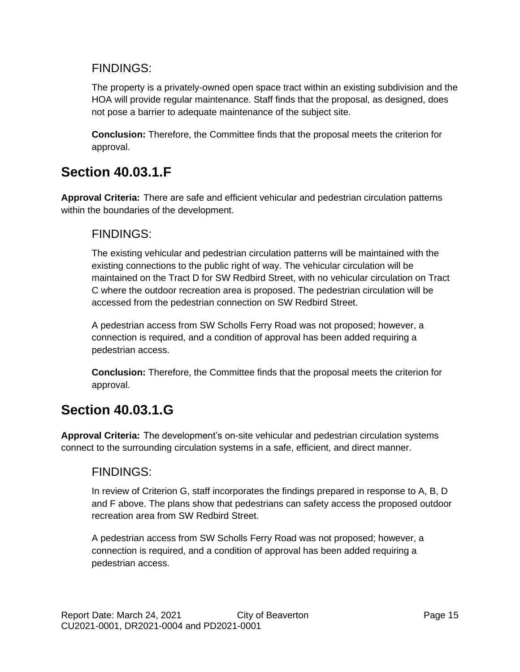### FINDINGS:

The property is a privately-owned open space tract within an existing subdivision and the HOA will provide regular maintenance. Staff finds that the proposal, as designed, does not pose a barrier to adequate maintenance of the subject site.

**Conclusion:** Therefore, the Committee finds that the proposal meets the criterion for approval.

## **Section 40.03.1.F**

**Approval Criteria:** There are safe and efficient vehicular and pedestrian circulation patterns within the boundaries of the development.

### FINDINGS:

The existing vehicular and pedestrian circulation patterns will be maintained with the existing connections to the public right of way. The vehicular circulation will be maintained on the Tract D for SW Redbird Street, with no vehicular circulation on Tract C where the outdoor recreation area is proposed. The pedestrian circulation will be accessed from the pedestrian connection on SW Redbird Street.

A pedestrian access from SW Scholls Ferry Road was not proposed; however, a connection is required, and a condition of approval has been added requiring a pedestrian access.

**Conclusion:** Therefore, the Committee finds that the proposal meets the criterion for approval.

## **Section 40.03.1.G**

**Approval Criteria:** The development's on-site vehicular and pedestrian circulation systems connect to the surrounding circulation systems in a safe, efficient, and direct manner.

### FINDINGS:

In review of Criterion G, staff incorporates the findings prepared in response to A, B, D and F above. The plans show that pedestrians can safety access the proposed outdoor recreation area from SW Redbird Street.

A pedestrian access from SW Scholls Ferry Road was not proposed; however, a connection is required, and a condition of approval has been added requiring a pedestrian access.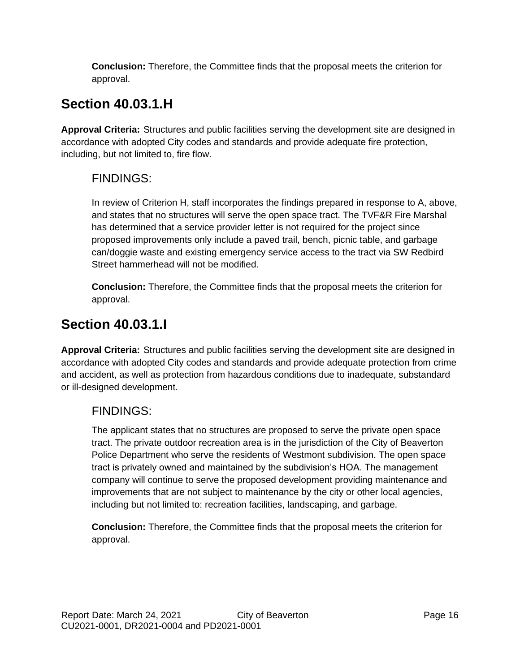**Conclusion:** Therefore, the Committee finds that the proposal meets the criterion for approval.

## **Section 40.03.1.H**

**Approval Criteria:** Structures and public facilities serving the development site are designed in accordance with adopted City codes and standards and provide adequate fire protection, including, but not limited to, fire flow.

### FINDINGS:

In review of Criterion H, staff incorporates the findings prepared in response to A, above, and states that no structures will serve the open space tract. The TVF&R Fire Marshal has determined that a service provider letter is not required for the project since proposed improvements only include a paved trail, bench, picnic table, and garbage can/doggie waste and existing emergency service access to the tract via SW Redbird Street hammerhead will not be modified.

**Conclusion:** Therefore, the Committee finds that the proposal meets the criterion for approval.

## **Section 40.03.1.I**

**Approval Criteria:** Structures and public facilities serving the development site are designed in accordance with adopted City codes and standards and provide adequate protection from crime and accident, as well as protection from hazardous conditions due to inadequate, substandard or ill-designed development.

### FINDINGS:

The applicant states that no structures are proposed to serve the private open space tract. The private outdoor recreation area is in the jurisdiction of the City of Beaverton Police Department who serve the residents of Westmont subdivision. The open space tract is privately owned and maintained by the subdivision's HOA. The management company will continue to serve the proposed development providing maintenance and improvements that are not subject to maintenance by the city or other local agencies, including but not limited to: recreation facilities, landscaping, and garbage.

**Conclusion:** Therefore, the Committee finds that the proposal meets the criterion for approval.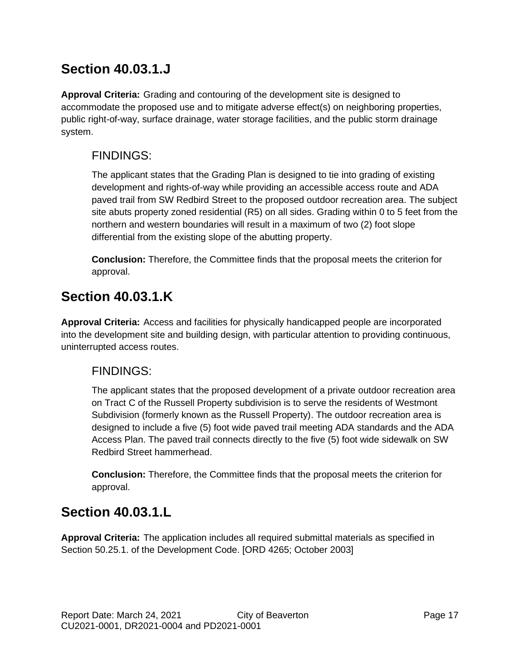## **Section 40.03.1.J**

**Approval Criteria:** Grading and contouring of the development site is designed to accommodate the proposed use and to mitigate adverse effect(s) on neighboring properties, public right-of-way, surface drainage, water storage facilities, and the public storm drainage system.

### FINDINGS:

The applicant states that the Grading Plan is designed to tie into grading of existing development and rights-of-way while providing an accessible access route and ADA paved trail from SW Redbird Street to the proposed outdoor recreation area. The subject site abuts property zoned residential (R5) on all sides. Grading within 0 to 5 feet from the northern and western boundaries will result in a maximum of two (2) foot slope differential from the existing slope of the abutting property.

**Conclusion:** Therefore, the Committee finds that the proposal meets the criterion for approval.

## **Section 40.03.1.K**

**Approval Criteria:** Access and facilities for physically handicapped people are incorporated into the development site and building design, with particular attention to providing continuous, uninterrupted access routes.

### FINDINGS:

The applicant states that the proposed development of a private outdoor recreation area on Tract C of the Russell Property subdivision is to serve the residents of Westmont Subdivision (formerly known as the Russell Property). The outdoor recreation area is designed to include a five (5) foot wide paved trail meeting ADA standards and the ADA Access Plan. The paved trail connects directly to the five (5) foot wide sidewalk on SW Redbird Street hammerhead.

**Conclusion:** Therefore, the Committee finds that the proposal meets the criterion for approval.

## **Section 40.03.1.L**

**Approval Criteria:** The application includes all required submittal materials as specified in Section 50.25.1. of the Development Code. [ORD 4265; October 2003]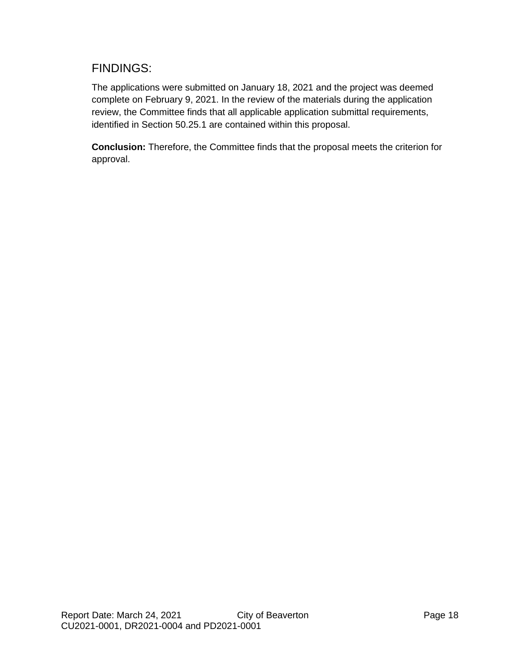### FINDINGS:

The applications were submitted on January 18, 2021 and the project was deemed complete on February 9, 2021. In the review of the materials during the application review, the Committee finds that all applicable application submittal requirements, identified in Section 50.25.1 are contained within this proposal.

**Conclusion:** Therefore, the Committee finds that the proposal meets the criterion for approval.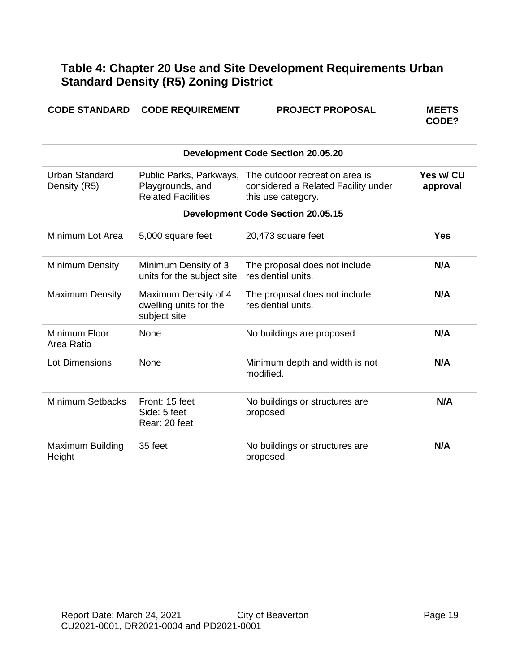### **Table 4: Chapter 20 Use and Site Development Requirements Urban Standard Density (R5) Zoning District**

|  | <b>CODE STANDARD CODE REQUIREMENT</b> |
|--|---------------------------------------|
|--|---------------------------------------|

**CODE STANDARD REPOSE CONFIDENTS** 

**CODE?**

| <b>Development Code Section 20.05.20</b> |                                                                          |                                                                                             |                       |  |
|------------------------------------------|--------------------------------------------------------------------------|---------------------------------------------------------------------------------------------|-----------------------|--|
| <b>Urban Standard</b><br>Density (R5)    | Public Parks, Parkways,<br>Playgrounds, and<br><b>Related Facilities</b> | The outdoor recreation area is<br>considered a Related Facility under<br>this use category. | Yes w/ CU<br>approval |  |
|                                          |                                                                          | <b>Development Code Section 20.05.15</b>                                                    |                       |  |
| Minimum Lot Area                         | 5,000 square feet                                                        | 20,473 square feet                                                                          | Yes                   |  |
| Minimum Density                          | Minimum Density of 3<br>units for the subject site                       | The proposal does not include<br>residential units.                                         | N/A                   |  |
| <b>Maximum Density</b>                   | Maximum Density of 4<br>dwelling units for the<br>subject site           | The proposal does not include<br>residential units.                                         | N/A                   |  |
| Minimum Floor<br>Area Ratio              | None                                                                     | No buildings are proposed                                                                   | N/A                   |  |
| <b>Lot Dimensions</b>                    | None                                                                     | Minimum depth and width is not<br>modified.                                                 | N/A                   |  |
| <b>Minimum Setbacks</b>                  | Front: 15 feet<br>Side: 5 feet<br>Rear: 20 feet                          | No buildings or structures are<br>proposed                                                  | N/A                   |  |
| Maximum Building<br>Height               | 35 feet                                                                  | No buildings or structures are<br>proposed                                                  | N/A                   |  |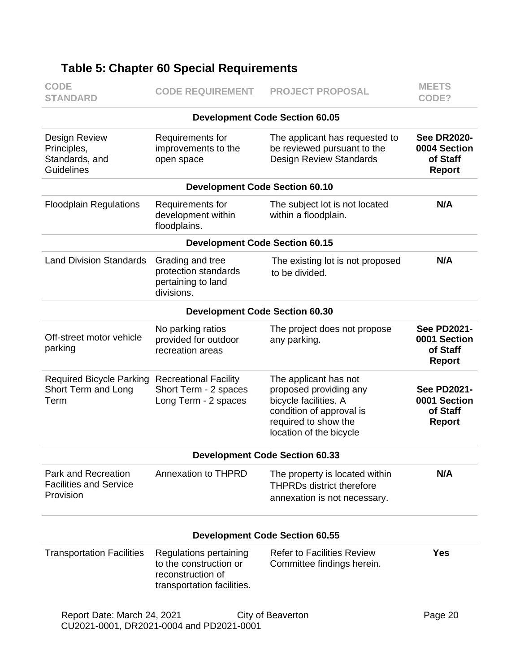| <b>CODE</b><br><b>STANDARD</b>                                           | <b>CODE REQUIREMENT</b>                                                       | <b>PROJECT PROPOSAL</b>                                                                                                                                 | <b>MEETS</b><br>CODE?                                           |
|--------------------------------------------------------------------------|-------------------------------------------------------------------------------|---------------------------------------------------------------------------------------------------------------------------------------------------------|-----------------------------------------------------------------|
|                                                                          |                                                                               | <b>Development Code Section 60.05</b>                                                                                                                   |                                                                 |
| Design Review<br>Principles,<br>Standards, and<br><b>Guidelines</b>      | Requirements for<br>improvements to the<br>open space                         | The applicant has requested to<br>be reviewed pursuant to the<br><b>Design Review Standards</b>                                                         | <b>See DR2020-</b><br>0004 Section<br>of Staff<br><b>Report</b> |
|                                                                          | <b>Development Code Section 60.10</b>                                         |                                                                                                                                                         |                                                                 |
| <b>Floodplain Regulations</b>                                            | Requirements for<br>development within<br>floodplains.                        | The subject lot is not located<br>within a floodplain.                                                                                                  | N/A                                                             |
|                                                                          | <b>Development Code Section 60.15</b>                                         |                                                                                                                                                         |                                                                 |
| <b>Land Division Standards</b>                                           | Grading and tree<br>protection standards<br>pertaining to land<br>divisions.  | The existing lot is not proposed<br>to be divided.                                                                                                      | N/A                                                             |
|                                                                          | <b>Development Code Section 60.30</b>                                         |                                                                                                                                                         |                                                                 |
| Off-street motor vehicle<br>parking                                      | No parking ratios<br>provided for outdoor<br>recreation areas                 | The project does not propose<br>any parking.                                                                                                            | <b>See PD2021-</b><br>0001 Section<br>of Staff<br><b>Report</b> |
| <b>Required Bicycle Parking</b><br>Short Term and Long<br>Term           | <b>Recreational Facility</b><br>Short Term - 2 spaces<br>Long Term - 2 spaces | The applicant has not<br>proposed providing any<br>bicycle facilities. A<br>condition of approval is<br>required to show the<br>location of the bicycle | <b>See PD2021-</b><br>0001 Section<br>of Staff<br><b>Report</b> |
|                                                                          |                                                                               | <b>Development Code Section 60.33</b>                                                                                                                   |                                                                 |
| <b>Park and Recreation</b><br><b>Facilities and Service</b><br>Provision | <b>Annexation to THPRD</b>                                                    | The property is located within<br><b>THPRDs district therefore</b><br>annexation is not necessary.                                                      | N/A                                                             |
|                                                                          |                                                                               | <b>Development Code Section 60.55</b>                                                                                                                   |                                                                 |
| <b>Transportation Facilities</b>                                         | Regulations pertaining<br>to the construction or<br>reconstruction of         | <b>Refer to Facilities Review</b><br>Committee findings herein.                                                                                         | <b>Yes</b>                                                      |

## **Table 5: Chapter 60 Special Requirements**

transportation facilities.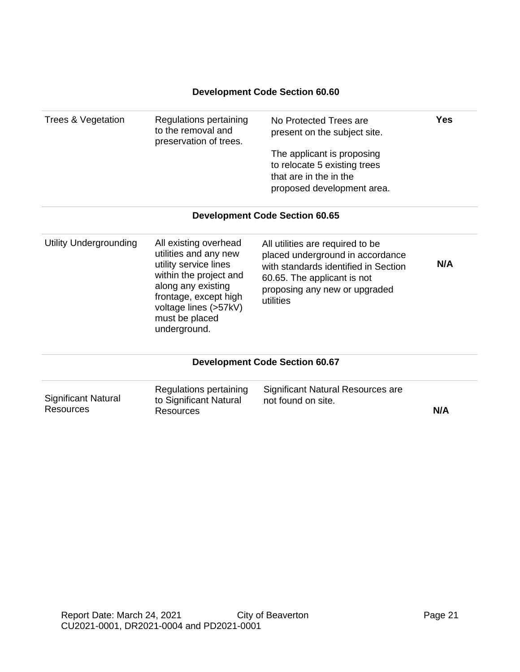#### **Development Code Section 60.60**

| Trees & Vegetation | Regulations pertaining<br>to the removal and<br>preservation of trees. | No Protected Trees are<br>present on the subject site.                                                             | Yes |
|--------------------|------------------------------------------------------------------------|--------------------------------------------------------------------------------------------------------------------|-----|
|                    |                                                                        | The applicant is proposing<br>to relocate 5 existing trees<br>that are in the in the<br>proposed development area. |     |
|                    |                                                                        |                                                                                                                    |     |

#### **Development Code Section 60.65**

| Utility Undergrounding | All existing overhead<br>utilities and any new<br>utility service lines<br>within the project and<br>along any existing<br>frontage, except high<br>voltage lines (>57kV)<br>must be placed<br>underground. | All utilities are required to be<br>placed underground in accordance<br>with standards identified in Section<br>60.65. The applicant is not<br>proposing any new or upgraded<br>utilities | N/A |
|------------------------|-------------------------------------------------------------------------------------------------------------------------------------------------------------------------------------------------------------|-------------------------------------------------------------------------------------------------------------------------------------------------------------------------------------------|-----|
|------------------------|-------------------------------------------------------------------------------------------------------------------------------------------------------------------------------------------------------------|-------------------------------------------------------------------------------------------------------------------------------------------------------------------------------------------|-----|

#### **Development Code Section 60.67**

| <b>Significant Natural</b> | Regulations pertaining<br>to Significant Natural | Significant Natural Resources are<br>not found on site. |     |
|----------------------------|--------------------------------------------------|---------------------------------------------------------|-----|
| Resources                  | Resources                                        |                                                         | N/A |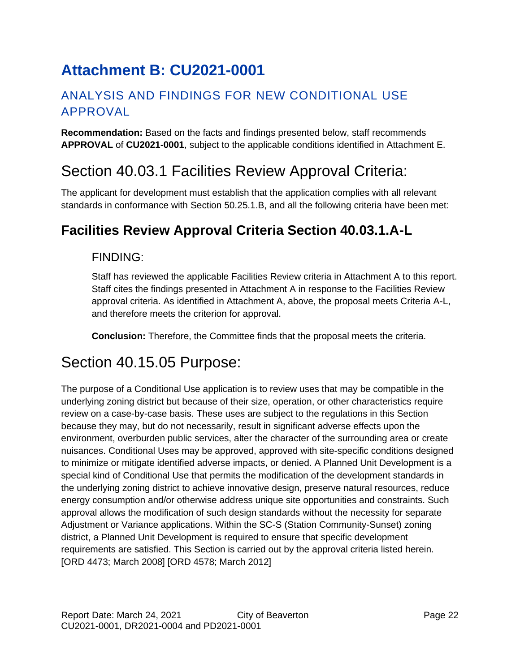# <span id="page-21-0"></span>**Attachment B: CU2021-0001**

## ANALYSIS AND FINDINGS FOR NEW CONDITIONAL USE APPROVAL

**Recommendation:** Based on the facts and findings presented below, staff recommends **APPROVAL** of **CU2021-0001**, subject to the applicable conditions identified in Attachment E.

## Section 40.03.1 Facilities Review Approval Criteria:

The applicant for development must establish that the application complies with all relevant standards in conformance with Section 50.25.1.B, and all the following criteria have been met:

## **Facilities Review Approval Criteria Section 40.03.1.A-L**

### FINDING:

Staff has reviewed the applicable Facilities Review criteria in Attachment A to this report. Staff cites the findings presented in Attachment A in response to the Facilities Review approval criteria. As identified in Attachment A, above, the proposal meets Criteria A-L, and therefore meets the criterion for approval.

**Conclusion:** Therefore, the Committee finds that the proposal meets the criteria.

## Section 40.15.05 Purpose:

The purpose of a Conditional Use application is to review uses that may be compatible in the underlying zoning district but because of their size, operation, or other characteristics require review on a case-by-case basis. These uses are subject to the regulations in this Section because they may, but do not necessarily, result in significant adverse effects upon the environment, overburden public services, alter the character of the surrounding area or create nuisances. Conditional Uses may be approved, approved with site-specific conditions designed to minimize or mitigate identified adverse impacts, or denied. A Planned Unit Development is a special kind of Conditional Use that permits the modification of the development standards in the underlying zoning district to achieve innovative design, preserve natural resources, reduce energy consumption and/or otherwise address unique site opportunities and constraints. Such approval allows the modification of such design standards without the necessity for separate Adjustment or Variance applications. Within the SC-S (Station Community-Sunset) zoning district, a Planned Unit Development is required to ensure that specific development requirements are satisfied. This Section is carried out by the approval criteria listed herein. [ORD 4473; March 2008] [ORD 4578; March 2012]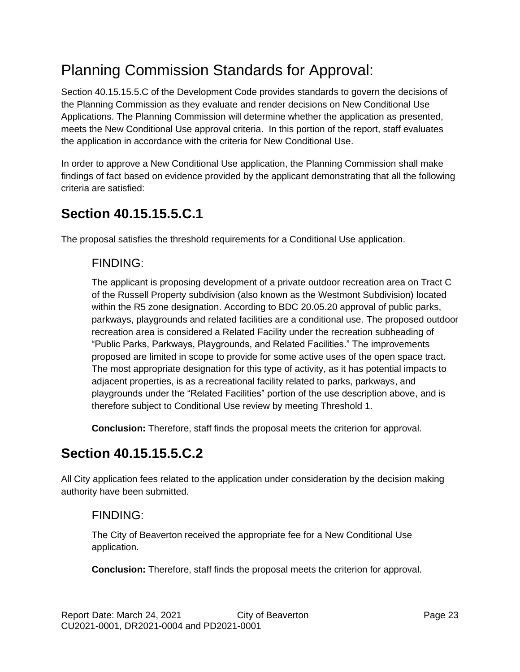# Planning Commission Standards for Approval:

Section 40.15.15.5.C of the Development Code provides standards to govern the decisions of the Planning Commission as they evaluate and render decisions on New Conditional Use Applications. The Planning Commission will determine whether the application as presented, meets the New Conditional Use approval criteria. In this portion of the report, staff evaluates the application in accordance with the criteria for New Conditional Use.

In order to approve a New Conditional Use application, the Planning Commission shall make findings of fact based on evidence provided by the applicant demonstrating that all the following criteria are satisfied:

## **Section 40.15.15.5.C.1**

The proposal satisfies the threshold requirements for a Conditional Use application.

### FINDING:

The applicant is proposing development of a private outdoor recreation area on Tract C of the Russell Property subdivision (also known as the Westmont Subdivision) located within the R5 zone designation. According to BDC 20.05.20 approval of public parks, parkways, playgrounds and related facilities are a conditional use. The proposed outdoor recreation area is considered a Related Facility under the recreation subheading of "Public Parks, Parkways, Playgrounds, and Related Facilities." The improvements proposed are limited in scope to provide for some active uses of the open space tract. The most appropriate designation for this type of activity, as it has potential impacts to adjacent properties, is as a recreational facility related to parks, parkways, and playgrounds under the "Related Facilities" portion of the use description above, and is therefore subject to Conditional Use review by meeting Threshold 1.

**Conclusion:** Therefore, staff finds the proposal meets the criterion for approval.

## **Section 40.15.15.5.C.2**

All City application fees related to the application under consideration by the decision making authority have been submitted.

### FINDING:

The City of Beaverton received the appropriate fee for a New Conditional Use application.

**Conclusion:** Therefore, staff finds the proposal meets the criterion for approval.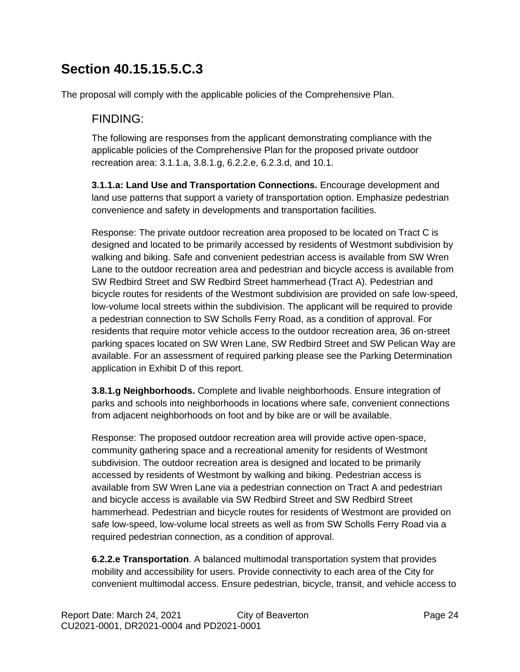## **Section 40.15.15.5.C.3**

The proposal will comply with the applicable policies of the Comprehensive Plan.

### FINDING:

The following are responses from the applicant demonstrating compliance with the applicable policies of the Comprehensive Plan for the proposed private outdoor recreation area: 3.1.1.a, 3.8.1.g, 6.2.2.e, 6.2.3.d, and 10.1.

**3.1.1.a: Land Use and Transportation Connections.** Encourage development and land use patterns that support a variety of transportation option. Emphasize pedestrian convenience and safety in developments and transportation facilities.

Response: The private outdoor recreation area proposed to be located on Tract C is designed and located to be primarily accessed by residents of Westmont subdivision by walking and biking. Safe and convenient pedestrian access is available from SW Wren Lane to the outdoor recreation area and pedestrian and bicycle access is available from SW Redbird Street and SW Redbird Street hammerhead (Tract A). Pedestrian and bicycle routes for residents of the Westmont subdivision are provided on safe low-speed, low-volume local streets within the subdivision. The applicant will be required to provide a pedestrian connection to SW Scholls Ferry Road, as a condition of approval. For residents that require motor vehicle access to the outdoor recreation area, 36 on-street parking spaces located on SW Wren Lane, SW Redbird Street and SW Pelican Way are available. For an assessment of required parking please see the Parking Determination application in Exhibit D of this report.

**3.8.1.g Neighborhoods.** Complete and livable neighborhoods. Ensure integration of parks and schools into neighborhoods in locations where safe, convenient connections from adjacent neighborhoods on foot and by bike are or will be available.

Response: The proposed outdoor recreation area will provide active open-space, community gathering space and a recreational amenity for residents of Westmont subdivision. The outdoor recreation area is designed and located to be primarily accessed by residents of Westmont by walking and biking. Pedestrian access is available from SW Wren Lane via a pedestrian connection on Tract A and pedestrian and bicycle access is available via SW Redbird Street and SW Redbird Street hammerhead. Pedestrian and bicycle routes for residents of Westmont are provided on safe low-speed, low-volume local streets as well as from SW Scholls Ferry Road via a required pedestrian connection, as a condition of approval.

**6.2.2.e Transportation**. A balanced multimodal transportation system that provides mobility and accessibility for users. Provide connectivity to each area of the City for convenient multimodal access. Ensure pedestrian, bicycle, transit, and vehicle access to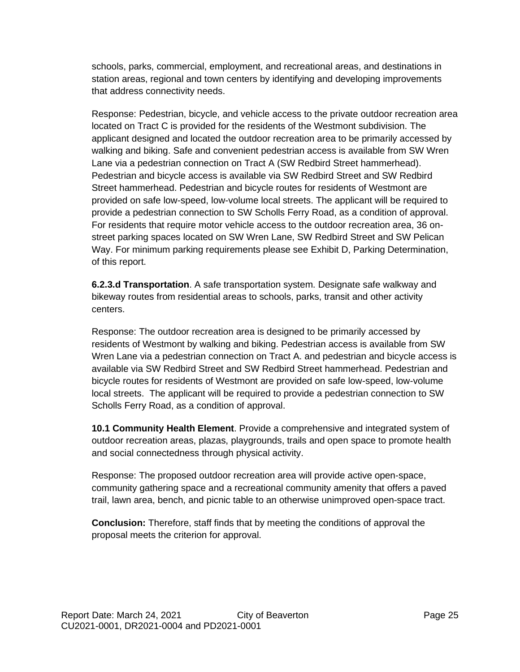schools, parks, commercial, employment, and recreational areas, and destinations in station areas, regional and town centers by identifying and developing improvements that address connectivity needs.

Response: Pedestrian, bicycle, and vehicle access to the private outdoor recreation area located on Tract C is provided for the residents of the Westmont subdivision. The applicant designed and located the outdoor recreation area to be primarily accessed by walking and biking. Safe and convenient pedestrian access is available from SW Wren Lane via a pedestrian connection on Tract A (SW Redbird Street hammerhead). Pedestrian and bicycle access is available via SW Redbird Street and SW Redbird Street hammerhead. Pedestrian and bicycle routes for residents of Westmont are provided on safe low-speed, low-volume local streets. The applicant will be required to provide a pedestrian connection to SW Scholls Ferry Road, as a condition of approval. For residents that require motor vehicle access to the outdoor recreation area, 36 onstreet parking spaces located on SW Wren Lane, SW Redbird Street and SW Pelican Way. For minimum parking requirements please see Exhibit D, Parking Determination, of this report.

**6.2.3.d Transportation**. A safe transportation system. Designate safe walkway and bikeway routes from residential areas to schools, parks, transit and other activity centers.

Response: The outdoor recreation area is designed to be primarily accessed by residents of Westmont by walking and biking. Pedestrian access is available from SW Wren Lane via a pedestrian connection on Tract A. and pedestrian and bicycle access is available via SW Redbird Street and SW Redbird Street hammerhead. Pedestrian and bicycle routes for residents of Westmont are provided on safe low-speed, low-volume local streets. The applicant will be required to provide a pedestrian connection to SW Scholls Ferry Road, as a condition of approval.

**10.1 Community Health Element**. Provide a comprehensive and integrated system of outdoor recreation areas, plazas, playgrounds, trails and open space to promote health and social connectedness through physical activity.

Response: The proposed outdoor recreation area will provide active open-space, community gathering space and a recreational community amenity that offers a paved trail, lawn area, bench, and picnic table to an otherwise unimproved open-space tract.

**Conclusion:** Therefore, staff finds that by meeting the conditions of approval the proposal meets the criterion for approval.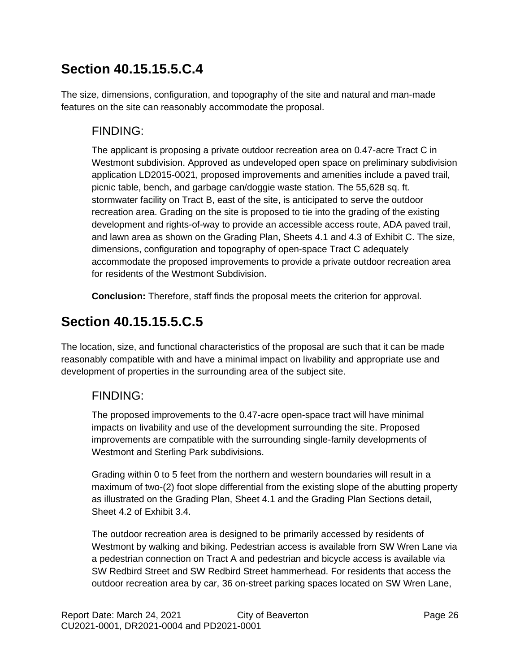## **Section 40.15.15.5.C.4**

The size, dimensions, configuration, and topography of the site and natural and man-made features on the site can reasonably accommodate the proposal.

### FINDING:

The applicant is proposing a private outdoor recreation area on 0.47-acre Tract C in Westmont subdivision. Approved as undeveloped open space on preliminary subdivision application LD2015-0021, proposed improvements and amenities include a paved trail, picnic table, bench, and garbage can/doggie waste station. The 55,628 sq. ft. stormwater facility on Tract B, east of the site, is anticipated to serve the outdoor recreation area. Grading on the site is proposed to tie into the grading of the existing development and rights-of-way to provide an accessible access route, ADA paved trail, and lawn area as shown on the Grading Plan, Sheets 4.1 and 4.3 of Exhibit C. The size, dimensions, configuration and topography of open-space Tract C adequately accommodate the proposed improvements to provide a private outdoor recreation area for residents of the Westmont Subdivision.

**Conclusion:** Therefore, staff finds the proposal meets the criterion for approval.

## **Section 40.15.15.5.C.5**

The location, size, and functional characteristics of the proposal are such that it can be made reasonably compatible with and have a minimal impact on livability and appropriate use and development of properties in the surrounding area of the subject site.

### FINDING:

The proposed improvements to the 0.47-acre open-space tract will have minimal impacts on livability and use of the development surrounding the site. Proposed improvements are compatible with the surrounding single-family developments of Westmont and Sterling Park subdivisions.

Grading within 0 to 5 feet from the northern and western boundaries will result in a maximum of two-(2) foot slope differential from the existing slope of the abutting property as illustrated on the Grading Plan, Sheet 4.1 and the Grading Plan Sections detail, Sheet 4.2 of Exhibit 3.4.

The outdoor recreation area is designed to be primarily accessed by residents of Westmont by walking and biking. Pedestrian access is available from SW Wren Lane via a pedestrian connection on Tract A and pedestrian and bicycle access is available via SW Redbird Street and SW Redbird Street hammerhead. For residents that access the outdoor recreation area by car, 36 on-street parking spaces located on SW Wren Lane,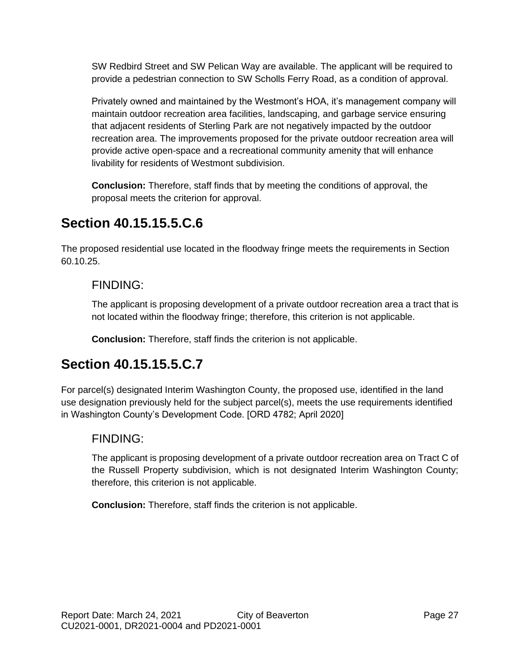SW Redbird Street and SW Pelican Way are available. The applicant will be required to provide a pedestrian connection to SW Scholls Ferry Road, as a condition of approval.

Privately owned and maintained by the Westmont's HOA, it's management company will maintain outdoor recreation area facilities, landscaping, and garbage service ensuring that adjacent residents of Sterling Park are not negatively impacted by the outdoor recreation area. The improvements proposed for the private outdoor recreation area will provide active open-space and a recreational community amenity that will enhance livability for residents of Westmont subdivision.

**Conclusion:** Therefore, staff finds that by meeting the conditions of approval, the proposal meets the criterion for approval.

## **Section 40.15.15.5.C.6**

The proposed residential use located in the floodway fringe meets the requirements in Section 60.10.25.

### FINDING:

The applicant is proposing development of a private outdoor recreation area a tract that is not located within the floodway fringe; therefore, this criterion is not applicable.

**Conclusion:** Therefore, staff finds the criterion is not applicable.

## **Section 40.15.15.5.C.7**

For parcel(s) designated Interim Washington County, the proposed use, identified in the land use designation previously held for the subject parcel(s), meets the use requirements identified in Washington County's Development Code. [ORD 4782; April 2020]

### FINDING:

The applicant is proposing development of a private outdoor recreation area on Tract C of the Russell Property subdivision, which is not designated Interim Washington County; therefore, this criterion is not applicable.

**Conclusion:** Therefore, staff finds the criterion is not applicable.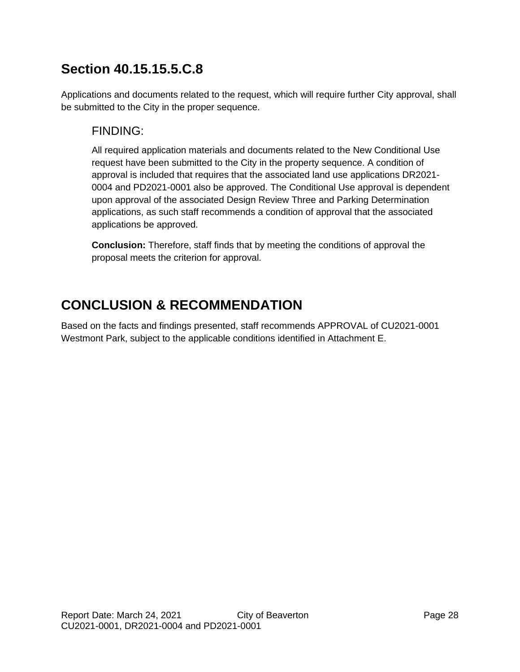## **Section 40.15.15.5.C.8**

Applications and documents related to the request, which will require further City approval, shall be submitted to the City in the proper sequence.

### FINDING:

All required application materials and documents related to the New Conditional Use request have been submitted to the City in the property sequence. A condition of approval is included that requires that the associated land use applications DR2021- 0004 and PD2021-0001 also be approved. The Conditional Use approval is dependent upon approval of the associated Design Review Three and Parking Determination applications, as such staff recommends a condition of approval that the associated applications be approved.

**Conclusion:** Therefore, staff finds that by meeting the conditions of approval the proposal meets the criterion for approval.

## **CONCLUSION & RECOMMENDATION**

Based on the facts and findings presented, staff recommends APPROVAL of CU2021-0001 Westmont Park, subject to the applicable conditions identified in Attachment E.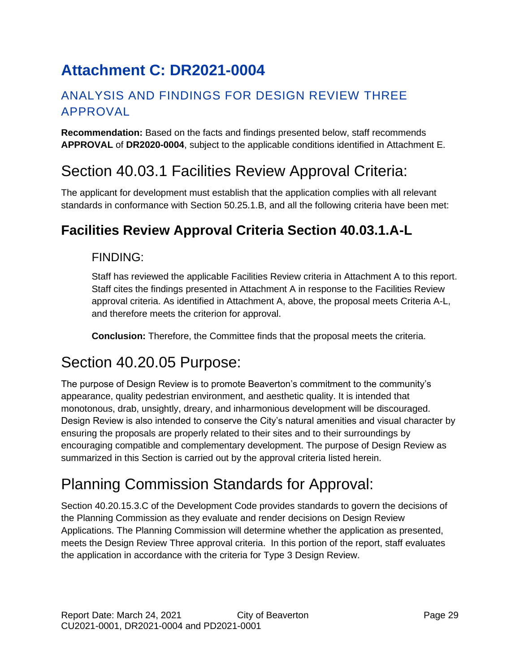# <span id="page-28-0"></span>**Attachment C: DR2021-0004**

## ANALYSIS AND FINDINGS FOR DESIGN REVIEW THREE APPROVAL

**Recommendation:** Based on the facts and findings presented below, staff recommends **APPROVAL** of **DR2020-0004**, subject to the applicable conditions identified in Attachment E.

## Section 40.03.1 Facilities Review Approval Criteria:

The applicant for development must establish that the application complies with all relevant standards in conformance with Section 50.25.1.B, and all the following criteria have been met:

## **Facilities Review Approval Criteria Section 40.03.1.A-L**

### FINDING:

Staff has reviewed the applicable Facilities Review criteria in Attachment A to this report. Staff cites the findings presented in Attachment A in response to the Facilities Review approval criteria. As identified in Attachment A, above, the proposal meets Criteria A-L, and therefore meets the criterion for approval.

**Conclusion:** Therefore, the Committee finds that the proposal meets the criteria.

## Section 40.20.05 Purpose:

The purpose of Design Review is to promote Beaverton's commitment to the community's appearance, quality pedestrian environment, and aesthetic quality. It is intended that monotonous, drab, unsightly, dreary, and inharmonious development will be discouraged. Design Review is also intended to conserve the City's natural amenities and visual character by ensuring the proposals are properly related to their sites and to their surroundings by encouraging compatible and complementary development. The purpose of Design Review as summarized in this Section is carried out by the approval criteria listed herein.

# Planning Commission Standards for Approval:

Section 40.20.15.3.C of the Development Code provides standards to govern the decisions of the Planning Commission as they evaluate and render decisions on Design Review Applications. The Planning Commission will determine whether the application as presented, meets the Design Review Three approval criteria. In this portion of the report, staff evaluates the application in accordance with the criteria for Type 3 Design Review.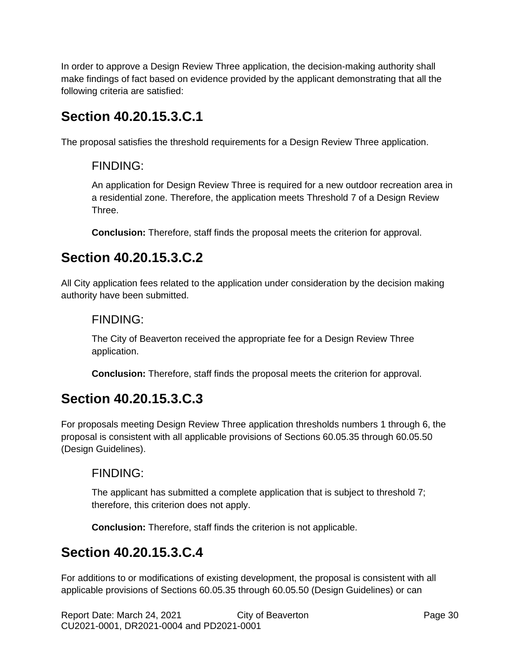In order to approve a Design Review Three application, the decision-making authority shall make findings of fact based on evidence provided by the applicant demonstrating that all the following criteria are satisfied:

## **Section 40.20.15.3.C.1**

The proposal satisfies the threshold requirements for a Design Review Three application.

### FINDING:

An application for Design Review Three is required for a new outdoor recreation area in a residential zone. Therefore, the application meets Threshold 7 of a Design Review Three.

**Conclusion:** Therefore, staff finds the proposal meets the criterion for approval.

## **Section 40.20.15.3.C.2**

All City application fees related to the application under consideration by the decision making authority have been submitted.

### FINDING:

The City of Beaverton received the appropriate fee for a Design Review Three application.

**Conclusion:** Therefore, staff finds the proposal meets the criterion for approval.

## **Section 40.20.15.3.C.3**

For proposals meeting Design Review Three application thresholds numbers 1 through 6, the proposal is consistent with all applicable provisions of Sections 60.05.35 through 60.05.50 (Design Guidelines).

### FINDING:

The applicant has submitted a complete application that is subject to threshold 7; therefore, this criterion does not apply.

**Conclusion:** Therefore, staff finds the criterion is not applicable.

## **Section 40.20.15.3.C.4**

For additions to or modifications of existing development, the proposal is consistent with all applicable provisions of Sections 60.05.35 through 60.05.50 (Design Guidelines) or can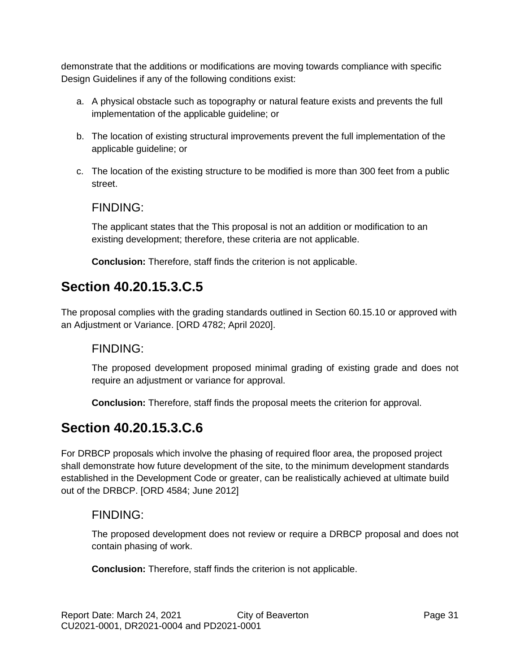demonstrate that the additions or modifications are moving towards compliance with specific Design Guidelines if any of the following conditions exist:

- a. A physical obstacle such as topography or natural feature exists and prevents the full implementation of the applicable guideline; or
- b. The location of existing structural improvements prevent the full implementation of the applicable guideline; or
- c. The location of the existing structure to be modified is more than 300 feet from a public street.

#### FINDING:

The applicant states that the This proposal is not an addition or modification to an existing development; therefore, these criteria are not applicable.

**Conclusion:** Therefore, staff finds the criterion is not applicable.

## **Section 40.20.15.3.C.5**

The proposal complies with the grading standards outlined in Section 60.15.10 or approved with an Adjustment or Variance. [ORD 4782; April 2020].

### FINDING:

The proposed development proposed minimal grading of existing grade and does not require an adjustment or variance for approval.

**Conclusion:** Therefore, staff finds the proposal meets the criterion for approval.

## **Section 40.20.15.3.C.6**

For DRBCP proposals which involve the phasing of required floor area, the proposed project shall demonstrate how future development of the site, to the minimum development standards established in the Development Code or greater, can be realistically achieved at ultimate build out of the DRBCP. [ORD 4584; June 2012]

### FINDING:

The proposed development does not review or require a DRBCP proposal and does not contain phasing of work.

**Conclusion:** Therefore, staff finds the criterion is not applicable.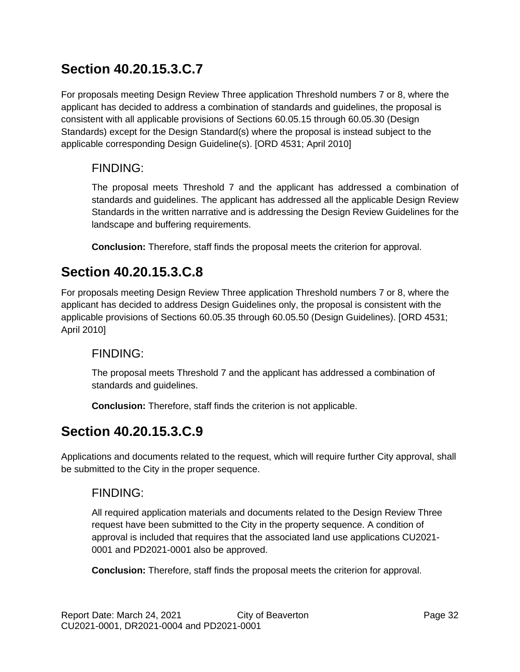## **Section 40.20.15.3.C.7**

For proposals meeting Design Review Three application Threshold numbers 7 or 8, where the applicant has decided to address a combination of standards and guidelines, the proposal is consistent with all applicable provisions of Sections 60.05.15 through 60.05.30 (Design Standards) except for the Design Standard(s) where the proposal is instead subject to the applicable corresponding Design Guideline(s). [ORD 4531; April 2010]

### FINDING:

The proposal meets Threshold 7 and the applicant has addressed a combination of standards and guidelines. The applicant has addressed all the applicable Design Review Standards in the written narrative and is addressing the Design Review Guidelines for the landscape and buffering requirements.

**Conclusion:** Therefore, staff finds the proposal meets the criterion for approval.

## **Section 40.20.15.3.C.8**

For proposals meeting Design Review Three application Threshold numbers 7 or 8, where the applicant has decided to address Design Guidelines only, the proposal is consistent with the applicable provisions of Sections 60.05.35 through 60.05.50 (Design Guidelines). [ORD 4531; April 2010]

### FINDING:

The proposal meets Threshold 7 and the applicant has addressed a combination of standards and guidelines.

**Conclusion:** Therefore, staff finds the criterion is not applicable.

## **Section 40.20.15.3.C.9**

Applications and documents related to the request, which will require further City approval, shall be submitted to the City in the proper sequence.

### FINDING:

All required application materials and documents related to the Design Review Three request have been submitted to the City in the property sequence. A condition of approval is included that requires that the associated land use applications CU2021- 0001 and PD2021-0001 also be approved.

**Conclusion:** Therefore, staff finds the proposal meets the criterion for approval.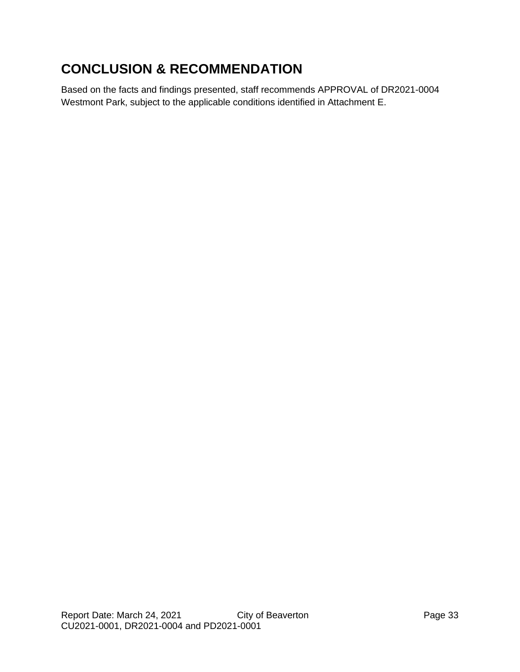## **CONCLUSION & RECOMMENDATION**

Based on the facts and findings presented, staff recommends APPROVAL of DR2021-0004 Westmont Park, subject to the applicable conditions identified in Attachment E.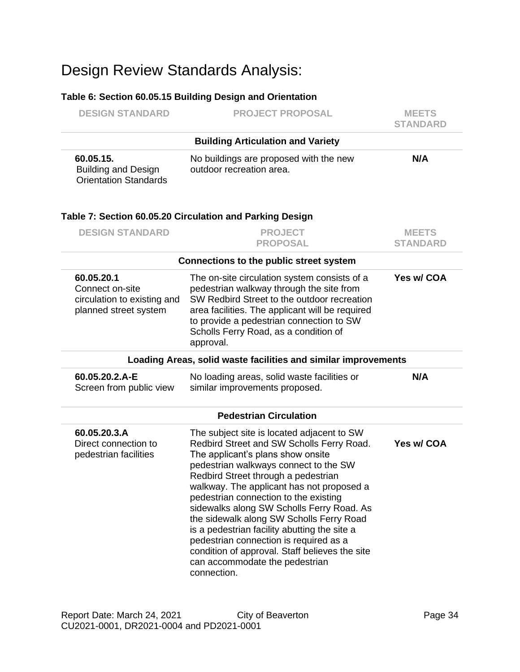# Design Review Standards Analysis:

#### **Table 6: Section 60.05.15 Building Design and Orientation**

| <b>DESIGN STANDARD</b>                                                                | <b>PROJECT PROPOSAL</b>                                                                                                                                                                                                                                                                                                                                                                                                                                                                                                                                                                  | <b>MEETS</b><br><b>STANDARD</b> |
|---------------------------------------------------------------------------------------|------------------------------------------------------------------------------------------------------------------------------------------------------------------------------------------------------------------------------------------------------------------------------------------------------------------------------------------------------------------------------------------------------------------------------------------------------------------------------------------------------------------------------------------------------------------------------------------|---------------------------------|
|                                                                                       | <b>Building Articulation and Variety</b>                                                                                                                                                                                                                                                                                                                                                                                                                                                                                                                                                 |                                 |
| 60.05.15.<br><b>Building and Design</b><br><b>Orientation Standards</b>               | No buildings are proposed with the new<br>outdoor recreation area.                                                                                                                                                                                                                                                                                                                                                                                                                                                                                                                       | N/A                             |
|                                                                                       | Table 7: Section 60.05.20 Circulation and Parking Design                                                                                                                                                                                                                                                                                                                                                                                                                                                                                                                                 |                                 |
| <b>DESIGN STANDARD</b>                                                                | <b>PROJECT</b><br><b>PROPOSAL</b>                                                                                                                                                                                                                                                                                                                                                                                                                                                                                                                                                        | <b>MEETS</b><br><b>STANDARD</b> |
|                                                                                       | <b>Connections to the public street system</b>                                                                                                                                                                                                                                                                                                                                                                                                                                                                                                                                           |                                 |
| 60.05.20.1<br>Connect on-site<br>circulation to existing and<br>planned street system | The on-site circulation system consists of a<br>pedestrian walkway through the site from<br>SW Redbird Street to the outdoor recreation<br>area facilities. The applicant will be required<br>to provide a pedestrian connection to SW<br>Scholls Ferry Road, as a condition of<br>approval.                                                                                                                                                                                                                                                                                             | Yes w/ COA                      |
|                                                                                       | Loading Areas, solid waste facilities and similar improvements                                                                                                                                                                                                                                                                                                                                                                                                                                                                                                                           |                                 |
| 60.05.20.2.A-E<br>Screen from public view                                             | No loading areas, solid waste facilities or<br>similar improvements proposed.                                                                                                                                                                                                                                                                                                                                                                                                                                                                                                            | N/A                             |
|                                                                                       | <b>Pedestrian Circulation</b>                                                                                                                                                                                                                                                                                                                                                                                                                                                                                                                                                            |                                 |
| 60.05.20.3.A<br>Direct connection to<br>pedestrian facilities                         | The subject site is located adjacent to SW<br>Redbird Street and SW Scholls Ferry Road.<br>The applicant's plans show onsite<br>pedestrian walkways connect to the SW<br>Redbird Street through a pedestrian<br>walkway. The applicant has not proposed a<br>pedestrian connection to the existing<br>sidewalks along SW Scholls Ferry Road. As<br>the sidewalk along SW Scholls Ferry Road<br>is a pedestrian facility abutting the site a<br>pedestrian connection is required as a<br>condition of approval. Staff believes the site<br>can accommodate the pedestrian<br>connection. | Yes w/ COA                      |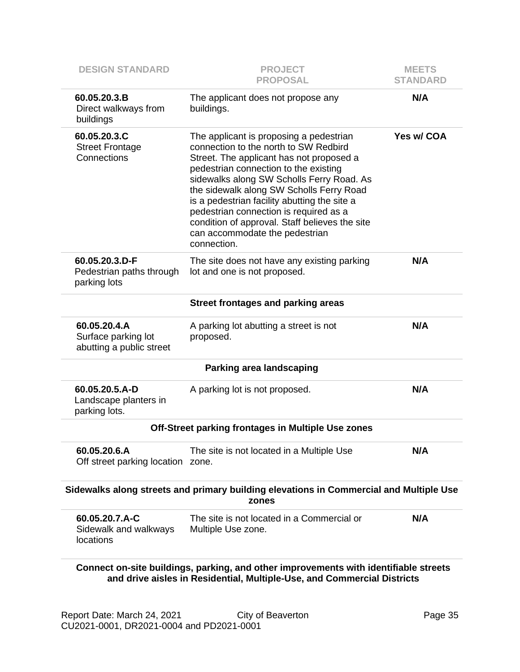| <b>DESIGN STANDARD</b>                                          | <b>PROJECT</b><br><b>PROPOSAL</b>                                                                                                                                                                                                                                                                                                                                                                                                                           | <b>MEETS</b><br><b>STANDARD</b> |
|-----------------------------------------------------------------|-------------------------------------------------------------------------------------------------------------------------------------------------------------------------------------------------------------------------------------------------------------------------------------------------------------------------------------------------------------------------------------------------------------------------------------------------------------|---------------------------------|
| 60.05.20.3.B<br>Direct walkways from<br>buildings               | The applicant does not propose any<br>buildings.                                                                                                                                                                                                                                                                                                                                                                                                            | N/A                             |
| 60.05.20.3.C<br><b>Street Frontage</b><br>Connections           | The applicant is proposing a pedestrian<br>connection to the north to SW Redbird<br>Street. The applicant has not proposed a<br>pedestrian connection to the existing<br>sidewalks along SW Scholls Ferry Road. As<br>the sidewalk along SW Scholls Ferry Road<br>is a pedestrian facility abutting the site a<br>pedestrian connection is required as a<br>condition of approval. Staff believes the site<br>can accommodate the pedestrian<br>connection. | Yes w/ COA                      |
| 60.05.20.3.D-F<br>Pedestrian paths through<br>parking lots      | The site does not have any existing parking<br>lot and one is not proposed.                                                                                                                                                                                                                                                                                                                                                                                 | N/A                             |
|                                                                 | <b>Street frontages and parking areas</b>                                                                                                                                                                                                                                                                                                                                                                                                                   |                                 |
| 60.05.20.4.A<br>Surface parking lot<br>abutting a public street | A parking lot abutting a street is not<br>proposed.                                                                                                                                                                                                                                                                                                                                                                                                         | N/A                             |
|                                                                 | <b>Parking area landscaping</b>                                                                                                                                                                                                                                                                                                                                                                                                                             |                                 |
| 60.05.20.5.A-D<br>Landscape planters in<br>parking lots.        | A parking lot is not proposed.                                                                                                                                                                                                                                                                                                                                                                                                                              | N/A                             |
|                                                                 | Off-Street parking frontages in Multiple Use zones                                                                                                                                                                                                                                                                                                                                                                                                          |                                 |
| 60.05.20.6.A<br>Off street parking location zone.               | The site is not located in a Multiple Use                                                                                                                                                                                                                                                                                                                                                                                                                   | N/A                             |
|                                                                 | Sidewalks along streets and primary building elevations in Commercial and Multiple Use<br>zones                                                                                                                                                                                                                                                                                                                                                             |                                 |
| 60.05.20.7.A-C<br>Sidewalk and walkways<br>locations            | The site is not located in a Commercial or<br>Multiple Use zone.                                                                                                                                                                                                                                                                                                                                                                                            | N/A                             |
|                                                                 | Connect on-site buildings, parking, and other improvements with identifiable streets<br>$\sim$ and all $\sim$ Multiples Here $\sim$ and $\sim$                                                                                                                                                                                                                                                                                                              |                                 |

**and drive aisles in Residential, Multiple-Use, and Commercial Districts**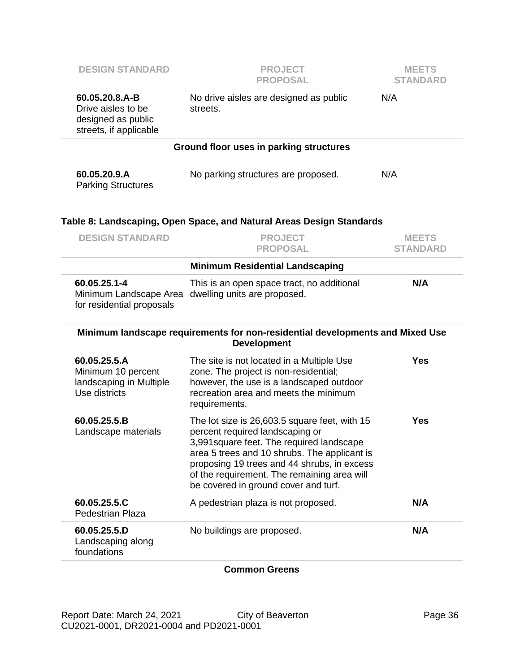| <b>DESIGN STANDARD</b>                                                               | <b>PROJECT</b><br><b>PROPOSAL</b>                                                                                                                                                                                                                                                                                   | <b>MEETS</b><br><b>STANDARD</b> |
|--------------------------------------------------------------------------------------|---------------------------------------------------------------------------------------------------------------------------------------------------------------------------------------------------------------------------------------------------------------------------------------------------------------------|---------------------------------|
| 60.05.20.8.A-B<br>Drive aisles to be<br>designed as public<br>streets, if applicable | No drive aisles are designed as public<br>streets.                                                                                                                                                                                                                                                                  | N/A                             |
|                                                                                      | Ground floor uses in parking structures                                                                                                                                                                                                                                                                             |                                 |
| 60.05.20.9.A<br><b>Parking Structures</b>                                            | No parking structures are proposed.                                                                                                                                                                                                                                                                                 | N/A                             |
|                                                                                      | Table 8: Landscaping, Open Space, and Natural Areas Design Standards                                                                                                                                                                                                                                                |                                 |
| <b>DESIGN STANDARD</b>                                                               | <b>PROJECT</b><br><b>PROPOSAL</b>                                                                                                                                                                                                                                                                                   | <b>MEETS</b><br><b>STANDARD</b> |
|                                                                                      | <b>Minimum Residential Landscaping</b>                                                                                                                                                                                                                                                                              |                                 |
| 60.05.25.1-4<br>Minimum Landscape Area                                               | This is an open space tract, no additional<br>dwelling units are proposed.                                                                                                                                                                                                                                          | N/A                             |
| for residential proposals                                                            |                                                                                                                                                                                                                                                                                                                     |                                 |
|                                                                                      | Minimum landscape requirements for non-residential developments and Mixed Use<br><b>Development</b>                                                                                                                                                                                                                 |                                 |
| 60.05.25.5.A<br>Minimum 10 percent<br>landscaping in Multiple<br>Use districts       | The site is not located in a Multiple Use<br>zone. The project is non-residential;<br>however, the use is a landscaped outdoor<br>recreation area and meets the minimum<br>requirements.                                                                                                                            | <b>Yes</b>                      |
| 60.05.25.5.B<br>Landscape materials                                                  | The lot size is 26,603.5 square feet, with 15<br>percent required landscaping or<br>3,991 square feet. The required landscape<br>area 5 trees and 10 shrubs. The applicant is<br>proposing 19 trees and 44 shrubs, in excess<br>of the requirement. The remaining area will<br>be covered in ground cover and turf. | <b>Yes</b>                      |
| 60.05.25.5.C<br><b>Pedestrian Plaza</b>                                              | A pedestrian plaza is not proposed.                                                                                                                                                                                                                                                                                 | N/A                             |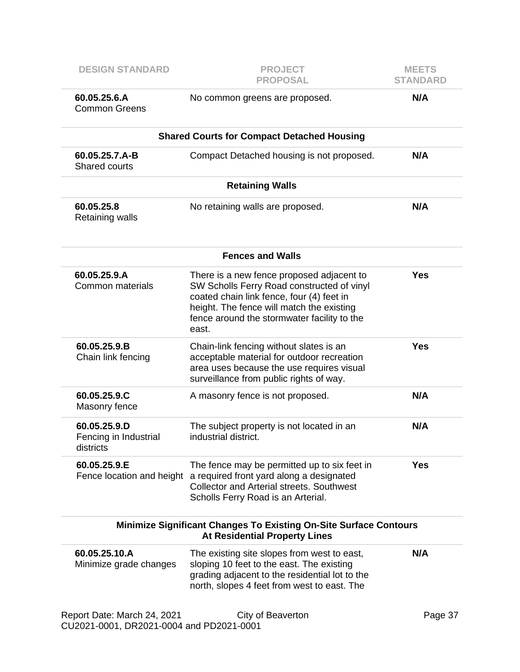| <b>DESIGN STANDARD</b>                                                  | <b>PROJECT</b><br><b>PROPOSAL</b>                                                                                                                                                                                                         | <b>MEETS</b><br><b>STANDARD</b> |
|-------------------------------------------------------------------------|-------------------------------------------------------------------------------------------------------------------------------------------------------------------------------------------------------------------------------------------|---------------------------------|
| 60.05.25.6.A<br><b>Common Greens</b>                                    | No common greens are proposed.                                                                                                                                                                                                            | N/A                             |
|                                                                         | <b>Shared Courts for Compact Detached Housing</b>                                                                                                                                                                                         |                                 |
| 60.05.25.7.A-B<br><b>Shared courts</b>                                  | Compact Detached housing is not proposed.                                                                                                                                                                                                 | N/A                             |
|                                                                         | <b>Retaining Walls</b>                                                                                                                                                                                                                    |                                 |
| 60.05.25.8<br><b>Retaining walls</b>                                    | No retaining walls are proposed.                                                                                                                                                                                                          | N/A                             |
|                                                                         | <b>Fences and Walls</b>                                                                                                                                                                                                                   |                                 |
| 60.05.25.9.A<br>Common materials                                        | There is a new fence proposed adjacent to<br>SW Scholls Ferry Road constructed of vinyl<br>coated chain link fence, four (4) feet in<br>height. The fence will match the existing<br>fence around the stormwater facility to the<br>east. | <b>Yes</b>                      |
| 60.05.25.9.B<br>Chain link fencing                                      | Chain-link fencing without slates is an<br>acceptable material for outdoor recreation<br>area uses because the use requires visual<br>surveillance from public rights of way.                                                             | <b>Yes</b>                      |
| 60.05.25.9.C<br>Masonry fence                                           | A masonry fence is not proposed.                                                                                                                                                                                                          | N/A                             |
| 60.05.25.9.D<br>Fencing in Industrial<br>districts                      | The subject property is not located in an<br>industrial district.                                                                                                                                                                         | N/A                             |
| 60.05.25.9.E                                                            | The fence may be permitted up to six feet in<br>Fence location and height a required front yard along a designated<br><b>Collector and Arterial streets. Southwest</b><br>Scholls Ferry Road is an Arterial.                              | <b>Yes</b>                      |
|                                                                         | <b>Minimize Significant Changes To Existing On-Site Surface Contours</b><br><b>At Residential Property Lines</b>                                                                                                                          |                                 |
| 60.05.25.10.A<br>Minimize grade changes                                 | The existing site slopes from west to east,<br>sloping 10 feet to the east. The existing<br>grading adjacent to the residential lot to the<br>north, slopes 4 feet from west to east. The                                                 | N/A                             |
| Report Date: March 24, 2021<br>CU2021-0001, DR2021-0004 and PD2021-0001 | City of Beaverton                                                                                                                                                                                                                         | Page 37                         |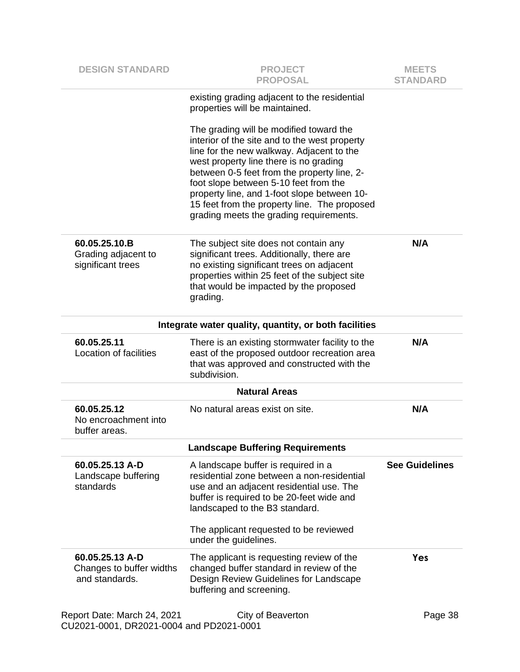| <b>DESIGN STANDARD</b>                                                  | <b>PROJECT</b><br><b>PROPOSAL</b>                                                                                                                                                                                                                                                                                                                                                                                 | <b>MEETS</b><br><b>STANDARD</b> |
|-------------------------------------------------------------------------|-------------------------------------------------------------------------------------------------------------------------------------------------------------------------------------------------------------------------------------------------------------------------------------------------------------------------------------------------------------------------------------------------------------------|---------------------------------|
|                                                                         | existing grading adjacent to the residential<br>properties will be maintained.                                                                                                                                                                                                                                                                                                                                    |                                 |
|                                                                         | The grading will be modified toward the<br>interior of the site and to the west property<br>line for the new walkway. Adjacent to the<br>west property line there is no grading<br>between 0-5 feet from the property line, 2-<br>foot slope between 5-10 feet from the<br>property line, and 1-foot slope between 10-<br>15 feet from the property line. The proposed<br>grading meets the grading requirements. |                                 |
| 60.05.25.10.B<br>Grading adjacent to<br>significant trees               | The subject site does not contain any<br>significant trees. Additionally, there are<br>no existing significant trees on adjacent<br>properties within 25 feet of the subject site<br>that would be impacted by the proposed<br>grading.                                                                                                                                                                           | N/A                             |
|                                                                         | Integrate water quality, quantity, or both facilities                                                                                                                                                                                                                                                                                                                                                             |                                 |
| 60.05.25.11<br>Location of facilities                                   | There is an existing stormwater facility to the<br>east of the proposed outdoor recreation area<br>that was approved and constructed with the<br>subdivision.                                                                                                                                                                                                                                                     | N/A                             |
|                                                                         | <b>Natural Areas</b>                                                                                                                                                                                                                                                                                                                                                                                              |                                 |
| 60.05.25.12<br>No encroachment into<br>buffer areas.                    | No natural areas exist on site.                                                                                                                                                                                                                                                                                                                                                                                   | N/A                             |
|                                                                         | <b>Landscape Buffering Requirements</b>                                                                                                                                                                                                                                                                                                                                                                           |                                 |
| 60.05.25.13 A-D<br>Landscape buffering<br>standards                     | A landscape buffer is required in a<br>residential zone between a non-residential<br>use and an adjacent residential use. The<br>buffer is required to be 20-feet wide and<br>landscaped to the B3 standard.<br>The applicant requested to be reviewed                                                                                                                                                            | <b>See Guidelines</b>           |
|                                                                         | under the guidelines.                                                                                                                                                                                                                                                                                                                                                                                             |                                 |
| 60.05.25.13 A-D<br>Changes to buffer widths<br>and standards.           | The applicant is requesting review of the<br>changed buffer standard in review of the<br>Design Review Guidelines for Landscape<br>buffering and screening.                                                                                                                                                                                                                                                       | Yes                             |
| Report Date: March 24, 2021<br>CU2021-0001, DR2021-0004 and PD2021-0001 | City of Beaverton                                                                                                                                                                                                                                                                                                                                                                                                 | Page 38                         |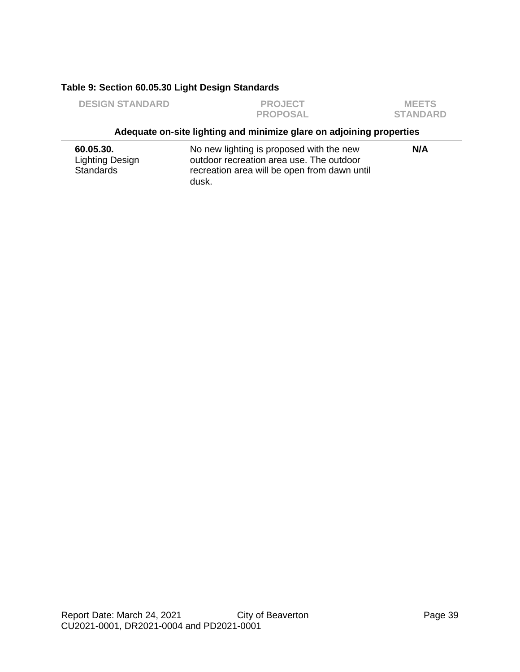#### **Table 9: Section 60.05.30 Light Design Standards**

dusk.

Standards

| <b>DESIGN STANDARD</b>       | <b>PROJECT</b><br><b>PROPOSAL</b>                                                    | <b>MEETS</b><br><b>STANDARD</b> |
|------------------------------|--------------------------------------------------------------------------------------|---------------------------------|
|                              | Adequate on-site lighting and minimize glare on adjoining properties                 |                                 |
| 60.05.30.<br>Lighting Design | No new lighting is proposed with the new<br>outdoor recreation area use. The outdoor | N/A                             |

recreation area will be open from dawn until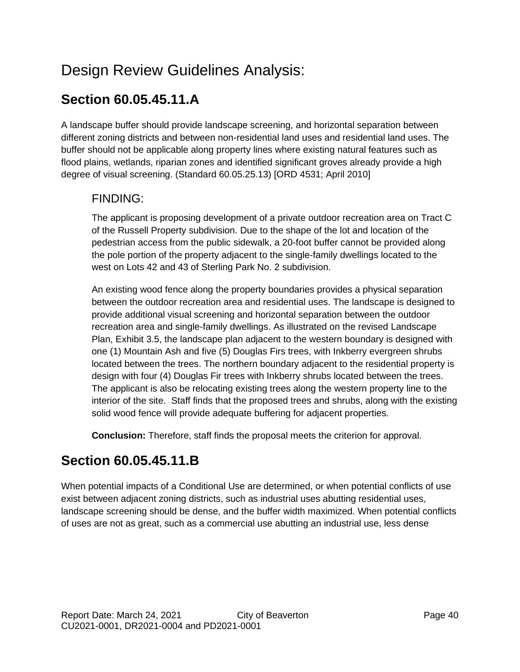# Design Review Guidelines Analysis:

## **Section 60.05.45.11.A**

A landscape buffer should provide landscape screening, and horizontal separation between different zoning districts and between non-residential land uses and residential land uses. The buffer should not be applicable along property lines where existing natural features such as flood plains, wetlands, riparian zones and identified significant groves already provide a high degree of visual screening. (Standard 60.05.25.13) [ORD 4531; April 2010]

### FINDING:

The applicant is proposing development of a private outdoor recreation area on Tract C of the Russell Property subdivision. Due to the shape of the lot and location of the pedestrian access from the public sidewalk, a 20-foot buffer cannot be provided along the pole portion of the property adjacent to the single-family dwellings located to the west on Lots 42 and 43 of Sterling Park No. 2 subdivision.

An existing wood fence along the property boundaries provides a physical separation between the outdoor recreation area and residential uses. The landscape is designed to provide additional visual screening and horizontal separation between the outdoor recreation area and single-family dwellings. As illustrated on the revised Landscape Plan, Exhibit 3.5, the landscape plan adjacent to the western boundary is designed with one (1) Mountain Ash and five (5) Douglas Firs trees, with Inkberry evergreen shrubs located between the trees. The northern boundary adjacent to the residential property is design with four (4) Douglas Fir trees with Inkberry shrubs located between the trees. The applicant is also be relocating existing trees along the western property line to the interior of the site. Staff finds that the proposed trees and shrubs, along with the existing solid wood fence will provide adequate buffering for adjacent properties.

**Conclusion:** Therefore, staff finds the proposal meets the criterion for approval.

## **Section 60.05.45.11.B**

When potential impacts of a Conditional Use are determined, or when potential conflicts of use exist between adjacent zoning districts, such as industrial uses abutting residential uses, landscape screening should be dense, and the buffer width maximized. When potential conflicts of uses are not as great, such as a commercial use abutting an industrial use, less dense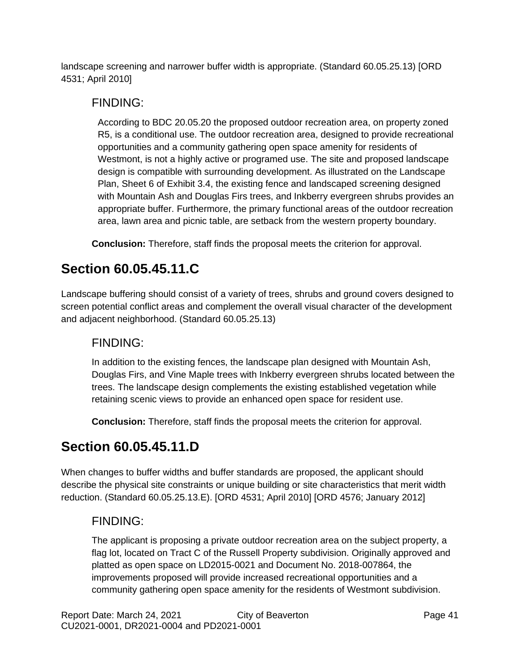landscape screening and narrower buffer width is appropriate. (Standard 60.05.25.13) [ORD 4531; April 2010]

### FINDING:

According to BDC 20.05.20 the proposed outdoor recreation area, on property zoned R5, is a conditional use. The outdoor recreation area, designed to provide recreational opportunities and a community gathering open space amenity for residents of Westmont, is not a highly active or programed use. The site and proposed landscape design is compatible with surrounding development. As illustrated on the Landscape Plan, Sheet 6 of Exhibit 3.4, the existing fence and landscaped screening designed with Mountain Ash and Douglas Firs trees, and Inkberry evergreen shrubs provides an appropriate buffer. Furthermore, the primary functional areas of the outdoor recreation area, lawn area and picnic table, are setback from the western property boundary.

**Conclusion:** Therefore, staff finds the proposal meets the criterion for approval.

## **Section 60.05.45.11.C**

Landscape buffering should consist of a variety of trees, shrubs and ground covers designed to screen potential conflict areas and complement the overall visual character of the development and adjacent neighborhood. (Standard 60.05.25.13)

### FINDING:

In addition to the existing fences, the landscape plan designed with Mountain Ash, Douglas Firs, and Vine Maple trees with Inkberry evergreen shrubs located between the trees. The landscape design complements the existing established vegetation while retaining scenic views to provide an enhanced open space for resident use.

**Conclusion:** Therefore, staff finds the proposal meets the criterion for approval.

## **Section 60.05.45.11.D**

When changes to buffer widths and buffer standards are proposed, the applicant should describe the physical site constraints or unique building or site characteristics that merit width reduction. (Standard 60.05.25.13.E). [ORD 4531; April 2010] [ORD 4576; January 2012]

### FINDING:

The applicant is proposing a private outdoor recreation area on the subject property, a flag lot, located on Tract C of the Russell Property subdivision. Originally approved and platted as open space on LD2015-0021 and Document No. 2018-007864, the improvements proposed will provide increased recreational opportunities and a community gathering open space amenity for the residents of Westmont subdivision.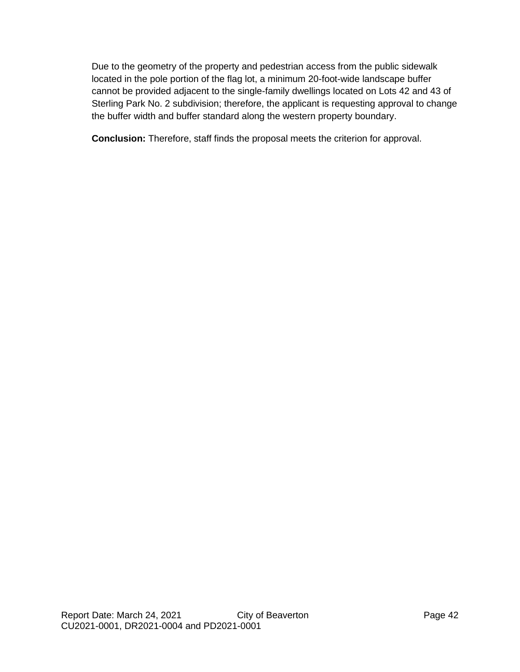Due to the geometry of the property and pedestrian access from the public sidewalk located in the pole portion of the flag lot, a minimum 20-foot-wide landscape buffer cannot be provided adjacent to the single-family dwellings located on Lots 42 and 43 of Sterling Park No. 2 subdivision; therefore, the applicant is requesting approval to change the buffer width and buffer standard along the western property boundary.

**Conclusion:** Therefore, staff finds the proposal meets the criterion for approval.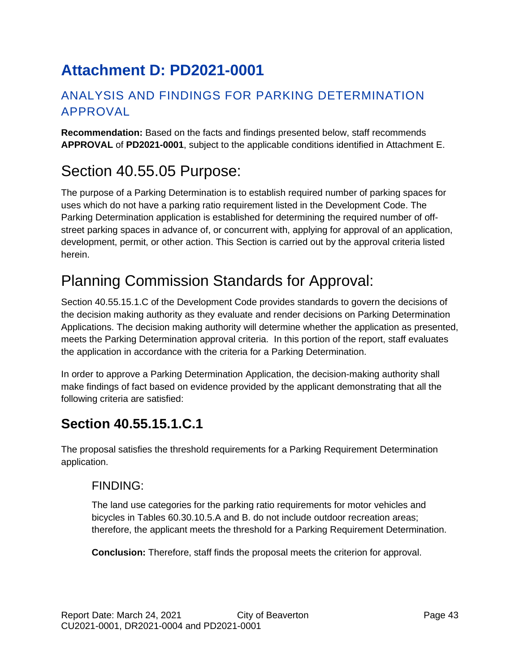# <span id="page-42-0"></span>**Attachment D: PD2021-0001**

## ANALYSIS AND FINDINGS FOR PARKING DETERMINATION APPROVAL

**Recommendation:** Based on the facts and findings presented below, staff recommends **APPROVAL** of **PD2021-0001**, subject to the applicable conditions identified in Attachment E.

# Section 40.55.05 Purpose:

The purpose of a Parking Determination is to establish required number of parking spaces for uses which do not have a parking ratio requirement listed in the Development Code. The Parking Determination application is established for determining the required number of offstreet parking spaces in advance of, or concurrent with, applying for approval of an application, development, permit, or other action. This Section is carried out by the approval criteria listed herein.

# Planning Commission Standards for Approval:

Section 40.55.15.1.C of the Development Code provides standards to govern the decisions of the decision making authority as they evaluate and render decisions on Parking Determination Applications. The decision making authority will determine whether the application as presented, meets the Parking Determination approval criteria. In this portion of the report, staff evaluates the application in accordance with the criteria for a Parking Determination.

In order to approve a Parking Determination Application, the decision-making authority shall make findings of fact based on evidence provided by the applicant demonstrating that all the following criteria are satisfied:

## **Section 40.55.15.1.C.1**

The proposal satisfies the threshold requirements for a Parking Requirement Determination application.

### FINDING:

The land use categories for the parking ratio requirements for motor vehicles and bicycles in Tables 60.30.10.5.A and B. do not include outdoor recreation areas; therefore, the applicant meets the threshold for a Parking Requirement Determination.

**Conclusion:** Therefore, staff finds the proposal meets the criterion for approval.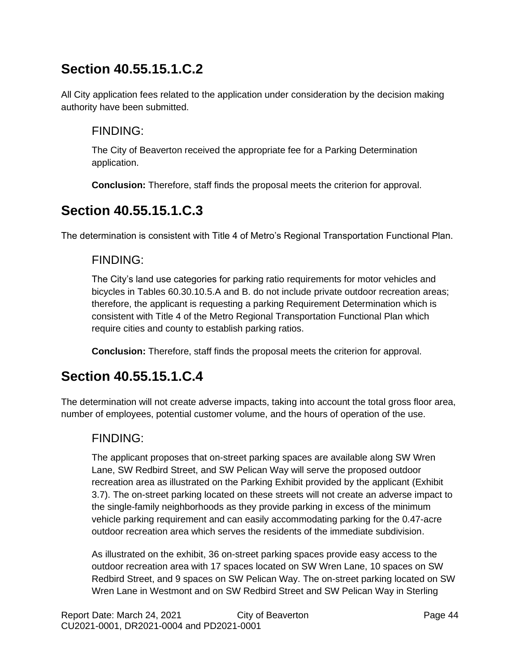## **Section 40.55.15.1.C.2**

All City application fees related to the application under consideration by the decision making authority have been submitted.

### FINDING:

The City of Beaverton received the appropriate fee for a Parking Determination application.

**Conclusion:** Therefore, staff finds the proposal meets the criterion for approval.

## **Section 40.55.15.1.C.3**

The determination is consistent with Title 4 of Metro's Regional Transportation Functional Plan.

### FINDING:

The City's land use categories for parking ratio requirements for motor vehicles and bicycles in Tables 60.30.10.5.A and B. do not include private outdoor recreation areas; therefore, the applicant is requesting a parking Requirement Determination which is consistent with Title 4 of the Metro Regional Transportation Functional Plan which require cities and county to establish parking ratios.

**Conclusion:** Therefore, staff finds the proposal meets the criterion for approval.

## **Section 40.55.15.1.C.4**

The determination will not create adverse impacts, taking into account the total gross floor area, number of employees, potential customer volume, and the hours of operation of the use.

### FINDING:

The applicant proposes that on-street parking spaces are available along SW Wren Lane, SW Redbird Street, and SW Pelican Way will serve the proposed outdoor recreation area as illustrated on the Parking Exhibit provided by the applicant (Exhibit 3.7). The on-street parking located on these streets will not create an adverse impact to the single-family neighborhoods as they provide parking in excess of the minimum vehicle parking requirement and can easily accommodating parking for the 0.47-acre outdoor recreation area which serves the residents of the immediate subdivision.

As illustrated on the exhibit, 36 on-street parking spaces provide easy access to the outdoor recreation area with 17 spaces located on SW Wren Lane, 10 spaces on SW Redbird Street, and 9 spaces on SW Pelican Way. The on-street parking located on SW Wren Lane in Westmont and on SW Redbird Street and SW Pelican Way in Sterling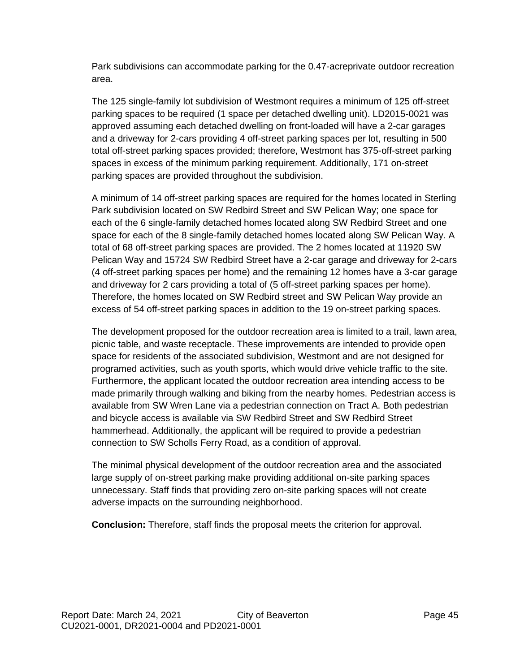Park subdivisions can accommodate parking for the 0.47-acreprivate outdoor recreation area.

The 125 single-family lot subdivision of Westmont requires a minimum of 125 off-street parking spaces to be required (1 space per detached dwelling unit). LD2015-0021 was approved assuming each detached dwelling on front-loaded will have a 2-car garages and a driveway for 2-cars providing 4 off-street parking spaces per lot, resulting in 500 total off-street parking spaces provided; therefore, Westmont has 375-off-street parking spaces in excess of the minimum parking requirement. Additionally, 171 on-street parking spaces are provided throughout the subdivision.

A minimum of 14 off-street parking spaces are required for the homes located in Sterling Park subdivision located on SW Redbird Street and SW Pelican Way; one space for each of the 6 single-family detached homes located along SW Redbird Street and one space for each of the 8 single-family detached homes located along SW Pelican Way. A total of 68 off-street parking spaces are provided. The 2 homes located at 11920 SW Pelican Way and 15724 SW Redbird Street have a 2-car garage and driveway for 2-cars (4 off-street parking spaces per home) and the remaining 12 homes have a 3-car garage and driveway for 2 cars providing a total of (5 off-street parking spaces per home). Therefore, the homes located on SW Redbird street and SW Pelican Way provide an excess of 54 off-street parking spaces in addition to the 19 on-street parking spaces.

The development proposed for the outdoor recreation area is limited to a trail, lawn area, picnic table, and waste receptacle. These improvements are intended to provide open space for residents of the associated subdivision, Westmont and are not designed for programed activities, such as youth sports, which would drive vehicle traffic to the site. Furthermore, the applicant located the outdoor recreation area intending access to be made primarily through walking and biking from the nearby homes. Pedestrian access is available from SW Wren Lane via a pedestrian connection on Tract A. Both pedestrian and bicycle access is available via SW Redbird Street and SW Redbird Street hammerhead. Additionally, the applicant will be required to provide a pedestrian connection to SW Scholls Ferry Road, as a condition of approval.

The minimal physical development of the outdoor recreation area and the associated large supply of on-street parking make providing additional on-site parking spaces unnecessary. Staff finds that providing zero on-site parking spaces will not create adverse impacts on the surrounding neighborhood.

**Conclusion:** Therefore, staff finds the proposal meets the criterion for approval.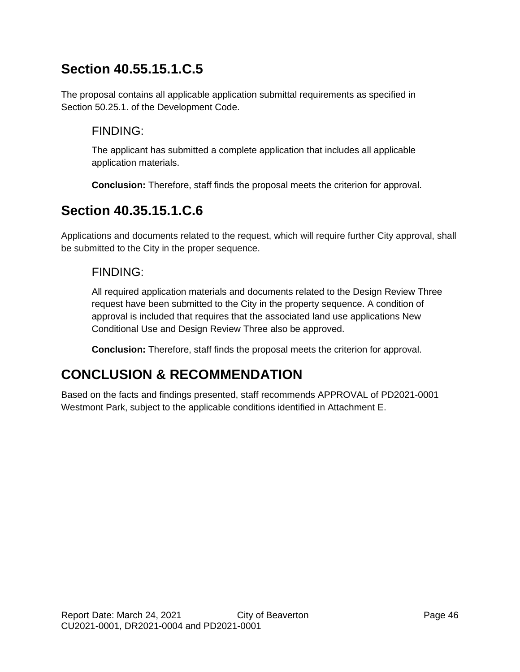## **Section 40.55.15.1.C.5**

The proposal contains all applicable application submittal requirements as specified in Section [50.25.](http://online.encodeplus.com/regs/beaverton-or/doc-viewer.aspx?ajax=0&tocid=001.006.005)1. of the Development Code.

### FINDING:

The applicant has submitted a complete application that includes all applicable application materials.

**Conclusion:** Therefore, staff finds the proposal meets the criterion for approval.

## **Section 40.35.15.1.C.6**

Applications and documents related to the request, which will require further City approval, shall be submitted to the City in the proper sequence.

### FINDING:

All required application materials and documents related to the Design Review Three request have been submitted to the City in the property sequence. A condition of approval is included that requires that the associated land use applications New Conditional Use and Design Review Three also be approved.

**Conclusion:** Therefore, staff finds the proposal meets the criterion for approval.

## **CONCLUSION & RECOMMENDATION**

Based on the facts and findings presented, staff recommends APPROVAL of PD2021-0001 Westmont Park, subject to the applicable conditions identified in Attachment E.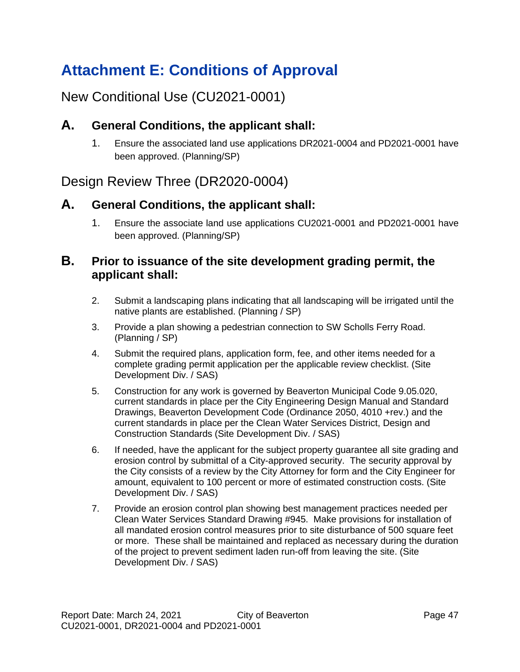# <span id="page-46-0"></span>**Attachment E: Conditions of Approval**

## New Conditional Use (CU2021-0001)

### **A. General Conditions, the applicant shall:**

1. Ensure the associated land use applications DR2021-0004 and PD2021-0001 have been approved. (Planning/SP)

## Design Review Three (DR2020-0004)

### **A. General Conditions, the applicant shall:**

1. Ensure the associate land use applications CU2021-0001 and PD2021-0001 have been approved. (Planning/SP)

### **B. Prior to issuance of the site development grading permit, the applicant shall:**

- 2. Submit a landscaping plans indicating that all landscaping will be irrigated until the native plants are established. (Planning / SP)
- 3. Provide a plan showing a pedestrian connection to SW Scholls Ferry Road. (Planning / SP)
- 4. Submit the required plans, application form, fee, and other items needed for a complete grading permit application per the applicable review checklist. (Site Development Div. / SAS)
- 5. Construction for any work is governed by Beaverton Municipal Code 9.05.020, current standards in place per the City Engineering Design Manual and Standard Drawings, Beaverton Development Code (Ordinance 2050, 4010 +rev.) and the current standards in place per the Clean Water Services District, Design and Construction Standards (Site Development Div. / SAS)
- 6. If needed, have the applicant for the subject property guarantee all site grading and erosion control by submittal of a City-approved security. The security approval by the City consists of a review by the City Attorney for form and the City Engineer for amount, equivalent to 100 percent or more of estimated construction costs. (Site Development Div. / SAS)
- 7. Provide an erosion control plan showing best management practices needed per Clean Water Services Standard Drawing #945. Make provisions for installation of all mandated erosion control measures prior to site disturbance of 500 square feet or more. These shall be maintained and replaced as necessary during the duration of the project to prevent sediment laden run-off from leaving the site. (Site Development Div. / SAS)